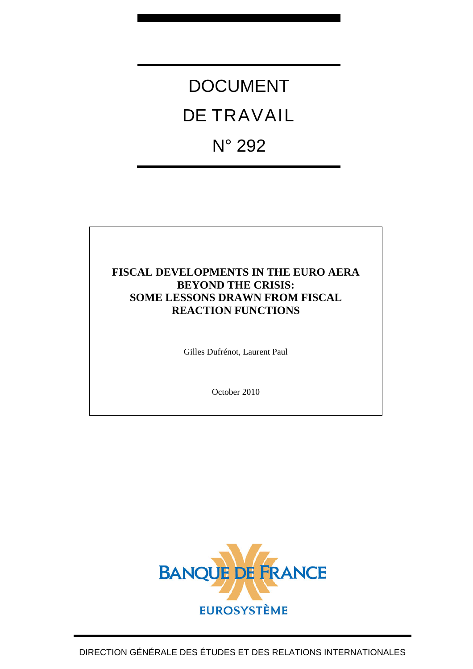# DOCUMENT DE TRAVAIL N° 292

### **FISCAL DEVELOPMENTS IN THE EURO AERA BEYOND THE CRISIS: SOME LESSONS DRAWN FROM FISCAL REACTION FUNCTIONS**

Gilles Dufrénot, Laurent Paul

October 2010

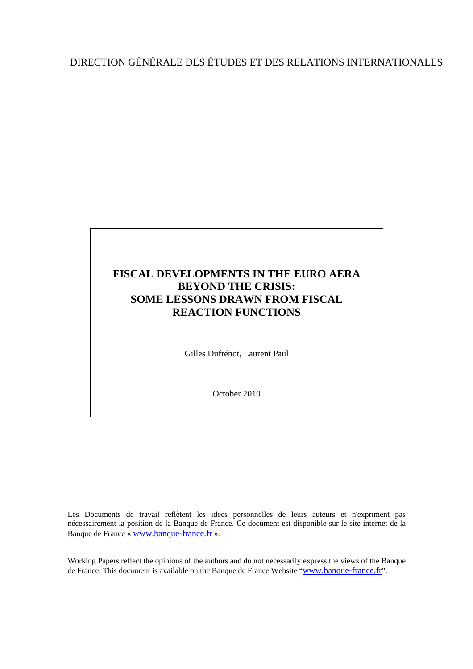# DIRECTION GÉNÉRALE DES ÉTUDES ET DES RELATIONS INTERNATIONALES

# **FISCAL DEVELOPMENTS IN THE EURO AERA BEYOND THE CRISIS: SOME LESSONS DRAWN FROM FISCAL REACTION FUNCTIONS**

Gilles Dufrénot, Laurent Paul

October 2010

Les Documents de travail reflètent les idées personnelles de leurs auteurs et n'expriment pas nécessairement la position de la Banque de France. Ce document est disponible sur le site internet de la Banque de France « [www.banque-france.fr](http://www.banque-france.fr/) ».

Working Papers reflect the opinions of the authors and do not necessarily express the views of the Banque de France. This document is available on the Banque de France Website "[www.banque-france.fr](http://www.banque-france.fr/)".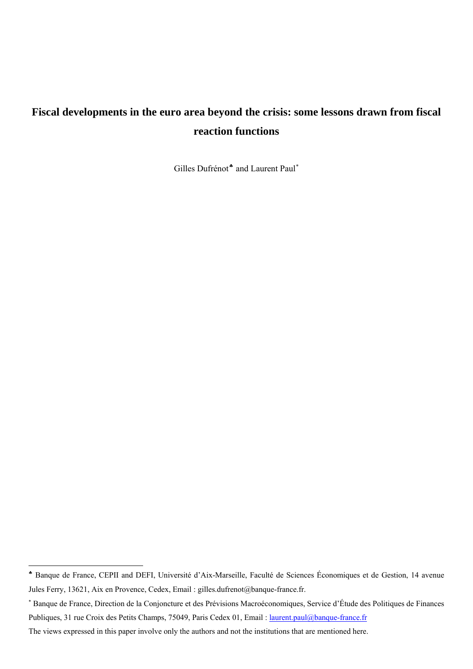# **Fiscal developments in the euro area beyond the crisis: some lessons drawn from fiscal reaction functions**

Gilles Dufrénot<sup>∗</sup> and Laurent Paul<sup>\*</sup>

<sup>♣</sup> Banque de France, CEPII and DEFI, Université d'Aix-Marseille, Faculté de Sciences Économiques et de Gestion, 14 avenue Jules Ferry, 13621, Aix en Provence, Cedex, Email : gilles.dufrenot@banque-france.fr.

<sup>∗</sup> Banque de France, Direction de la Conjoncture et des Prévisions Macroéconomiques, Service d'Étude des Politiques de Finances Publiques, 31 rue Croix des Petits Champs, 75049, Paris Cedex 01, Email : *laurent.paul@banque-france.fr* 

The views expressed in this paper involve only the authors and not the institutions that are mentioned here.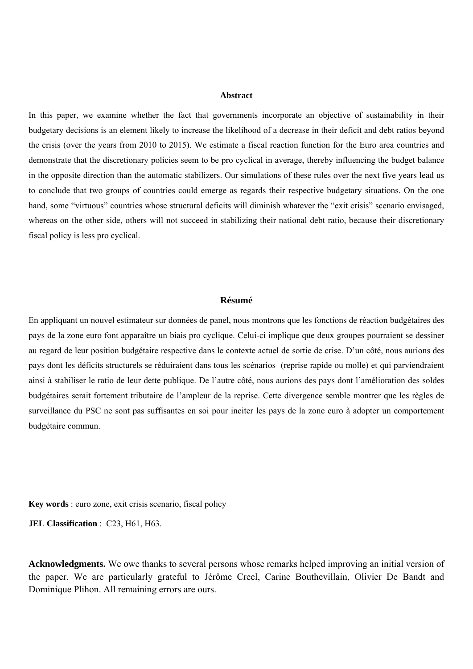#### **Abstract**

In this paper, we examine whether the fact that governments incorporate an objective of sustainability in their budgetary decisions is an element likely to increase the likelihood of a decrease in their deficit and debt ratios beyond the crisis (over the years from 2010 to 2015). We estimate a fiscal reaction function for the Euro area countries and demonstrate that the discretionary policies seem to be pro cyclical in average, thereby influencing the budget balance in the opposite direction than the automatic stabilizers. Our simulations of these rules over the next five years lead us to conclude that two groups of countries could emerge as regards their respective budgetary situations. On the one hand, some "virtuous" countries whose structural deficits will diminish whatever the "exit crisis" scenario envisaged, whereas on the other side, others will not succeed in stabilizing their national debt ratio, because their discretionary fiscal policy is less pro cyclical.

#### **Résumé**

En appliquant un nouvel estimateur sur données de panel, nous montrons que les fonctions de réaction budgétaires des pays de la zone euro font apparaître un biais pro cyclique. Celui-ci implique que deux groupes pourraient se dessiner au regard de leur position budgétaire respective dans le contexte actuel de sortie de crise. D'un côté, nous aurions des pays dont les déficits structurels se réduiraient dans tous les scénarios (reprise rapide ou molle) et qui parviendraient ainsi à stabiliser le ratio de leur dette publique. De l'autre côté, nous aurions des pays dont l'amélioration des soldes budgétaires serait fortement tributaire de l'ampleur de la reprise. Cette divergence semble montrer que les règles de surveillance du PSC ne sont pas suffisantes en soi pour inciter les pays de la zone euro à adopter un comportement budgétaire commun.

**Key words** : euro zone, exit crisis scenario, fiscal policy

**JEL Classification** : C23, H61, H63.

**Acknowledgments.** We owe thanks to several persons whose remarks helped improving an initial version of the paper. We are particularly grateful to Jérôme Creel, Carine Bouthevillain, Olivier De Bandt and Dominique Plihon. All remaining errors are ours.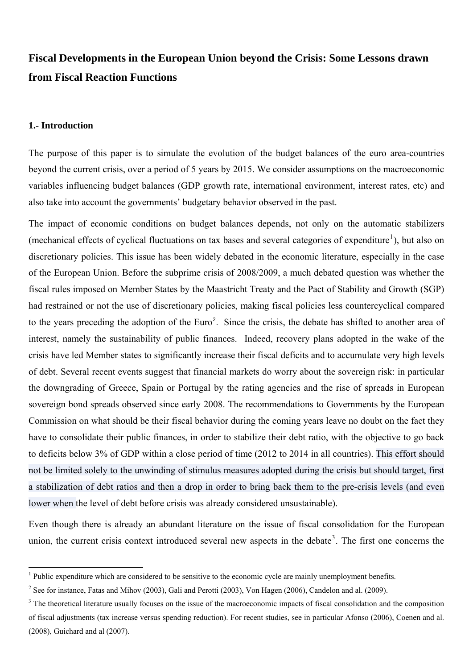# **Fiscal Developments in the European Union beyond the Crisis: Some Lessons drawn from Fiscal Reaction Functions**

#### **1.- Introduction**

The purpose of this paper is to simulate the evolution of the budget balances of the euro area-countries beyond the current crisis, over a period of 5 years by 2015. We consider assumptions on the macroeconomic variables influencing budget balances (GDP growth rate, international environment, interest rates, etc) and also take into account the governments' budgetary behavior observed in the past.

The impact of economic conditions on budget balances depends, not only on the automatic stabilizers (mechanical effects of cyclical fluctuations on tax bases and several categories of expenditure<sup>1</sup>), but also on discretionary policies. This issue has been widely debated in the economic literature, especially in the case of the European Union. Before the subprime crisis of 2008/2009, a much debated question w[as](#page-4-0) whether the fiscal rules imposed on Member States by the Maastricht Treaty and the Pact of Stability and Growth (SGP) had restrained or not the use of discretionary policies, making fiscal policies less countercyclical compared to the years preceding the adoption of the Euro<sup>2</sup>. Since the crisis, the debate has shifted to another area of interest, namely the sustainability of public finances. Indeed, recovery plans adopted in the wake of the crisis have led Member states to significantly in[cr](#page-4-1)ease their fiscal deficits and to accumulate very high levels of debt. Several recent events suggest that financial markets do worry about the sovereign risk: in particular the downgrading of Greece, Spain or Portugal by the rating agencies and the rise of spreads in European sovereign bond spreads observed since early 2008. The recommendations to Governments by the European Commission on what should be their fiscal behavior during the coming years leave no doubt on the fact they have to consolidate their public finances, in order to stabilize their debt ratio, with the objective to go back to deficits below 3% of GDP within a close period of time (2012 to 2014 in all countries). This effort should not be limited solely to the unwinding of stimulus measures adopted during the crisis but should target, first a stabilization of debt ratios and then a drop in order to bring back them to the pre-crisis levels (and even lower when the level of debt before crisis was already considered unsustainable).

Even though there is already an abundant literature on the issue of fiscal consolidation for the European union, the current crisis context introduced several new aspects in the debate<sup>3</sup>. The first one concerns the

 $<sup>1</sup>$  Public expenditure which are considered to be sensitive to the econo[m](#page-4-2)ic cycle are mainly unemployment benefits.</sup>

<sup>&</sup>lt;sup>2</sup> See for instance, Fatas and Mihov (2003), Gali and Perotti (2003), Von Hagen (2006), Candelon and al. (2009).

<span id="page-4-2"></span><span id="page-4-1"></span><span id="page-4-0"></span> $3$  The theoretical literature usually focuses on the issue of the macroeconomic impacts of fiscal consolidation and the composition of fiscal adjustments (tax increase versus spending reduction). For recent studies, see in particular Afonso (2006), Coenen and al. (2008), Guichard and al (2007).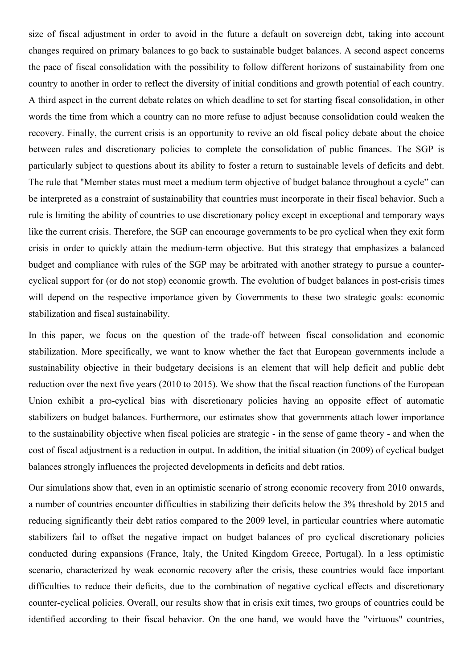size of fiscal adjustment in order to avoid in the future a default on sovereign debt, taking into account changes required on primary balances to go back to sustainable budget balances. A second aspect concerns the pace of fiscal consolidation with the possibility to follow different horizons of sustainability from one country to another in order to reflect the diversity of initial conditions and growth potential of each country. A third aspect in the current debate relates on which deadline to set for starting fiscal consolidation, in other words the time from which a country can no more refuse to adjust because consolidation could weaken the recovery. Finally, the current crisis is an opportunity to revive an old fiscal policy debate about the choice between rules and discretionary policies to complete the consolidation of public finances. The SGP is particularly subject to questions about its ability to foster a return to sustainable levels of deficits and debt. The rule that "Member states must meet a medium term objective of budget balance throughout a cycle" can be interpreted as a constraint of sustainability that countries must incorporate in their fiscal behavior. Such a rule is limiting the ability of countries to use discretionary policy except in exceptional and temporary ways like the current crisis. Therefore, the SGP can encourage governments to be pro cyclical when they exit form crisis in order to quickly attain the medium-term objective. But this strategy that emphasizes a balanced budget and compliance with rules of the SGP may be arbitrated with another strategy to pursue a countercyclical support for (or do not stop) economic growth. The evolution of budget balances in post-crisis times will depend on the respective importance given by Governments to these two strategic goals: economic stabilization and fiscal sustainability.

In this paper, we focus on the question of the trade-off between fiscal consolidation and economic stabilization. More specifically, we want to know whether the fact that European governments include a sustainability objective in their budgetary decisions is an element that will help deficit and public debt reduction over the next five years (2010 to 2015). We show that the fiscal reaction functions of the European Union exhibit a pro-cyclical bias with discretionary policies having an opposite effect of automatic stabilizers on budget balances. Furthermore, our estimates show that governments attach lower importance to the sustainability objective when fiscal policies are strategic - in the sense of game theory - and when the cost of fiscal adjustment is a reduction in output. In addition, the initial situation (in 2009) of cyclical budget balances strongly influences the projected developments in deficits and debt ratios.

Our simulations show that, even in an optimistic scenario of strong economic recovery from 2010 onwards, a number of countries encounter difficulties in stabilizing their deficits below the 3% threshold by 2015 and reducing significantly their debt ratios compared to the 2009 level, in particular countries where automatic stabilizers fail to offset the negative impact on budget balances of pro cyclical discretionary policies conducted during expansions (France, Italy, the United Kingdom Greece, Portugal). In a less optimistic scenario, characterized by weak economic recovery after the crisis, these countries would face important difficulties to reduce their deficits, due to the combination of negative cyclical effects and discretionary counter-cyclical policies. Overall, our results show that in crisis exit times, two groups of countries could be identified according to their fiscal behavior. On the one hand, we would have the "virtuous" countries,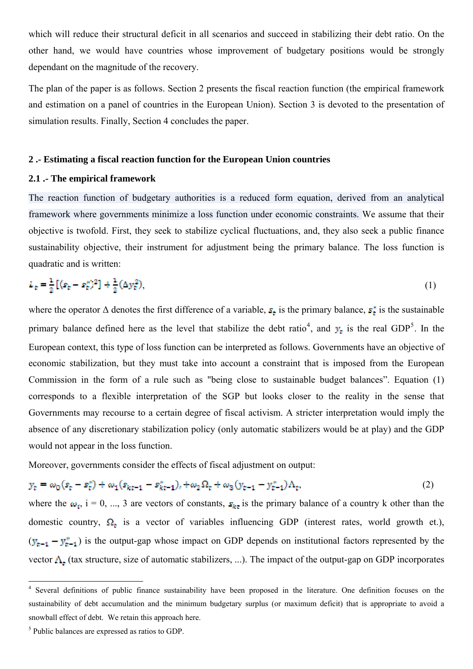<span id="page-6-0"></span>other hand, we would have countries whose improvement of budgetary positions would be strongly dependant on the magnitude of the recovery.

The plan of the paper is as follows. Section 2 presents the fiscal reaction function (the empirical framework and estimation on a panel of countries in the European Union). Section 3 is devoted to the presentation of simulation results. Finally, Section 4 concludes the paper.

#### **2 .- Estimating a fiscal reaction function for the European Union countries**

#### **2.1 .- The empirical framework**

The reaction function of budgetary authorities is a reduced form equation, derived from an analytical framework where governments minimize a loss function under economic constraints. We assume that their objective is twofold. First, they seek to stabilize cyclical fluctuations, and, they also seek a public finance sustainability objective, their instrument for adjustment being the primary balance. The loss function is quadratic and is written:

$$
L_{\tau} = \frac{1}{2} \left[ (s_{\tau} - s_{\tau}^{*})^{2} \right] + \frac{1}{2} (\Delta y_{\tau}^{2}), \tag{1}
$$

where the operator  $\Delta$  denotes the first difference of a variable,  $s_t$  is the primary balance,  $s_t^*$  is the sustainable primary balance defined here as the level that stabilize the debt ratio<sup>4</sup>, and  $y_t$  is the real GDP<sup>5</sup>. In the European context, this type of loss function can be interpreted as follows. Governments have an objective of economic stabilization, but they must take into account a constraint [th](#page-6-0)at is imposed from the [Eu](#page-6-0)ropean Commission in the form of a rule such as "being close to sustainable budget balances". Equation (1) corresponds to a flexible interpretation of the SGP but looks closer to the reality in the sense that Governments may recourse to a certain degree of fiscal activism. A stricter interpretation would imply the absence of any discretionary stabilization policy (only automatic stabilizers would be at play) and the GDP would not appear in the loss function.

Moreover, governments consider the effects of fiscal adjustment on output:

$$
y_t = \omega_0 (s_t - s_t^*) + \omega_1 (s_{kt-1} - s_{kt-1}^*)_t + \omega_2 \Omega_t + \omega_3 (y_{t-1} - y_{t-1}^*) \Lambda_t,
$$
\n(2)

where the  $\omega_i$ , i = 0, ..., 3 are vectors of constants,  $s_{kt}$  is the primary balance of a country k other than the domestic country,  $\Omega_t$  is a vector of variables influencing GDP (interest rates, world growth et.),  $(y_{t-1} - y_{t-1}^*)$  is the output-gap whose impact on GDP depends on institutional factors represented by the vector  $\Lambda_t$  (tax structure, size of automatic stabilizers, ...). The impact of the output-gap on GDP incorporates

<sup>&</sup>lt;sup>4</sup> Several definitions of public finance sustainability have been proposed in the literature. One definition focuses on the sustainability of debt accumulation and the minimum budgetary surplus (or maximum deficit) that is appropriate to avoid a snowball effect of debt. We retain this approach here.

<sup>5</sup> Public balances are expressed as ratios to GDP.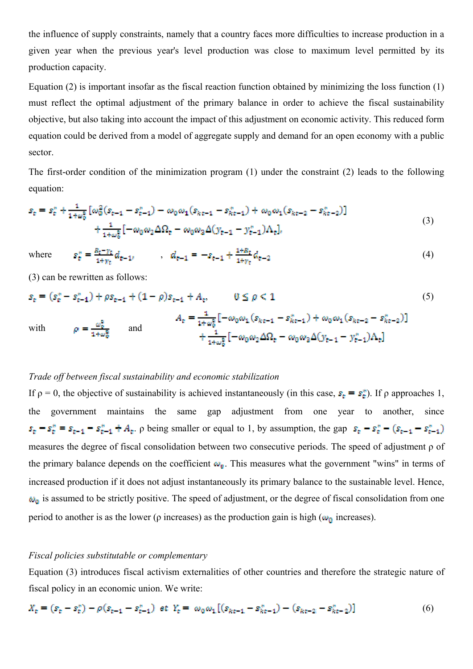the influence of supply constraints, namely that a country faces more difficulties to increase production in a given year when the previous year's level production was close to maximum level permitted by its production capacity.

Equation (2) is important insofar as the fiscal reaction function obtained by minimizing the loss function (1) must reflect the optimal adjustment of the primary balance in order to achieve the fiscal sustainability objective, but also taking into account the impact of this adjustment on economic activity. This reduced form equation could be derived from a model of aggregate supply and demand for an open economy with a public sector.

The first-order condition of the minimization program (1) under the constraint (2) leads to the following equation:

$$
s_{t} = s_{t}^{*} + \frac{1}{1+\omega_{0}^{2}} \left[ \omega_{0}^{2}(s_{t-1} - s_{t-1}^{*}) - \omega_{0} \omega_{1}(s_{kt-1} - s_{kt-1}^{*}) + \omega_{0} \omega_{1}(s_{kt-2} - s_{kt-2}^{*}) \right] + \frac{1}{1+\omega_{0}^{2}} \left[ -\omega_{0} \omega_{2} \Delta \Omega_{t} - \omega_{0} \omega_{2} \Delta (y_{t-1} - y_{t-1}^{*}) \Lambda_{t} \right],
$$
\n(3)

where 
$$
s_t^* = \frac{B_t - \gamma_t}{1 + \gamma_t} d_{t-1}, \qquad d_{t-1} = -s_{t-1} + \frac{1 + B_t}{1 + \gamma_t} d_{t-2}
$$
 (4)

(3) can be rewritten as follows:

$$
s_{\rm t} = (s_{\rm t}^* - s_{\rm t-1}^*) + \rho s_{\rm t-1} + (1 - \rho)s_{\rm t-1} + A_{\rm t}, \qquad 0 \le \rho < 1
$$
\n
$$
A_{\rm t} = \frac{1}{1 + \omega_{0}^{2}} \left[ -\omega_{0} \omega_{1} (s_{\rm kt-1} - s_{\rm kt-1}^{*}) + \omega_{0} \omega_{1} (s_{\rm kt-2} - s_{\rm kt-2}^{*}) \right]
$$
\nwith\n
$$
\rho = \frac{\omega_{0}^{2}}{1 + \omega_{0}^{2}} \qquad \text{and} \qquad \frac{1}{1 + \omega_{0}^{2}} \left[ -\omega_{0} \omega_{2} \Delta \Omega_{\rm t} - \omega_{0} \omega_{2} \Delta (y_{\rm t-1} - y_{\rm t-1}^{*}) \Lambda_{\rm t} \right]
$$
\n
$$
(5)
$$

#### *Trade off between fiscal sustainability and economic stabilization*

If  $ρ = 0$ , the objective of sustainability is achieved instantaneously (in this case,  $s_t = s_t^*$ ). If  $ρ$  approaches 1, the government maintains the same gap adjustment from one year to another, since  $s_{\epsilon} - s_{\epsilon}^* = s_{\epsilon-1} - s_{\epsilon-1}^* + A_{\epsilon}$ .  $\rho$  being smaller or equal to 1, by assumption, the gap  $s_{\epsilon} - s_{\epsilon}^* - (s_{\epsilon-1} - s_{\epsilon-1}^*)$ measures the degree of fiscal consolidation between two consecutive periods. The speed of adjustment ρ of the primary balance depends on the coefficient  $\omega_{\bullet}$ . This measures what the government "wins" in terms of increased production if it does not adjust instantaneously its primary balance to the sustainable level. Hence,  $\omega_0$  is assumed to be strictly positive. The speed of adjustment, or the degree of fiscal consolidation from one period to another is as the lower ( $\rho$  increases) as the production gain is high ( $\omega_0$  increases).

#### *Fiscal policies substitutable or complementary*

Equation (3) introduces fiscal activism externalities of other countries and therefore the strategic nature of fiscal policy in an economic union. We write:

$$
X_{t} = (s_{t} - s_{t}^{*}) - \rho(s_{t-1} - s_{t-1}^{*}) \text{ et } Y_{t} = \omega_{0} \omega_{1} [(s_{kt-1} - s_{kt-1}^{*}) - (s_{kt-2} - s_{kt-2}^{*})] \tag{6}
$$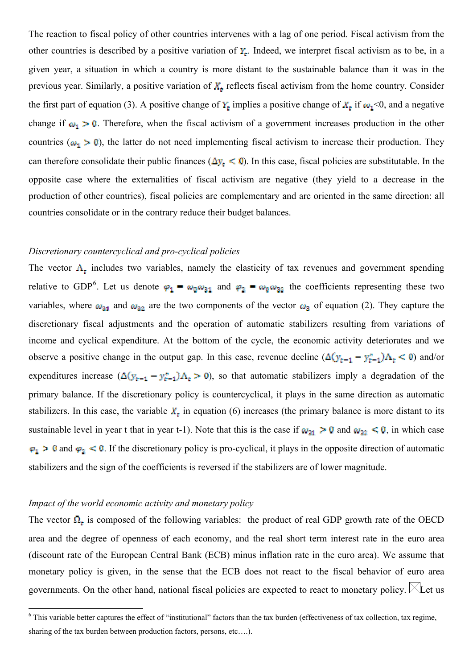<span id="page-8-0"></span>other countries is described by a positive variation of  $Y_t$ . Indeed, we interpret fiscal activism as to be, in a given year, a situation in which a country is more distant to the sustainable balance than it was in the previous year. Similarly, a positive variation of  $X_t$  reflects fiscal activism from the home country. Consider the first part of equation (3). A positive change of  $Y_t$  implies a positive change of  $X_t$  if  $\omega_1$ <0, and a negative change if  $\omega_1 > 0$ . Therefore, when the fiscal activism of a government increases production in the other countries ( $\omega_1 > 0$ ), the latter do not need implementing fiscal activism to increase their production. They can therefore consolidate their public finances ( $\Delta y_c \le 0$ ). In this case, fiscal policies are substitutable. In the opposite case where the externalities of fiscal activism are negative (they yield to a decrease in the production of other countries), fiscal policies are complementary and are oriented in the same direction: all countries consolidate or in the contrary reduce their budget balances.

#### *Discretionary countercyclical and pro-cyclical policies*

The vector  $\Lambda_t$  includes two variables, namely the elasticity of tax revenues and government spending relative to GDP<sup>6</sup>. Let us denote  $\varphi_1 = \omega_0 \omega_{31}$  and  $\varphi_2 = \omega_0 \omega_{32}$  the coefficients representing these two variables, where  $\omega_{21}$  and  $\omega_{22}$  are the two components of the vector  $\omega_3$  of equation (2). They capture the discretionary fis[c](#page-8-0)al adjustments and the operation of automatic stabilizers resulting from variations of income and cyclical expenditure. At the bottom of the cycle, the economic activity deteriorates and we observe a positive change in the output gap. In this case, revenue decline  $(\Delta(y_{t-1} - y_{t-1}^*)\Delta_t < 0)$  and/or expenditures increase  $(\Delta(y_{t-1} - y_{t-1}^*) \Delta_t > 0)$ , so that automatic stabilizers imply a degradation of the primary balance. If the discretionary policy is countercyclical, it plays in the same direction as automatic stabilizers. In this case, the variable  $X_t$  in equation (6) increases (the primary balance is more distant to its sustainable level in year t that in year t-1). Note that this is the case if  $\omega_{21} > 0$  and  $\omega_{22} < 0$ , in which case  $\varphi_1 > 0$  and  $\varphi_2 < 0$ . If the discretionary policy is pro-cyclical, it plays in the opposite direction of automatic stabilizers and the sign of the coefficients is reversed if the stabilizers are of lower magnitude.

#### *Impact of the world economic activity and monetary policy*

The vector  $\Omega_{\epsilon}$  is composed of the following variables: the product of real GDP growth rate of the OECD area and the degree of openness of each economy, and the real short term interest rate in the euro area (discount rate of the European Central Bank (ECB) minus inflation rate in the euro area). We assume that monetary policy is given, in the sense that the ECB does not react to the fiscal behavior of euro area governments. On the other hand, national fiscal policies are expected to react to monetary policy.  $\boxtimes$ Let us

<sup>&</sup>lt;sup>6</sup> This variable better captures the effect of "institutional" factors than the tax burden (effectiveness of tax collection, tax regime, sharing of the tax burden between production factors, persons, etc….).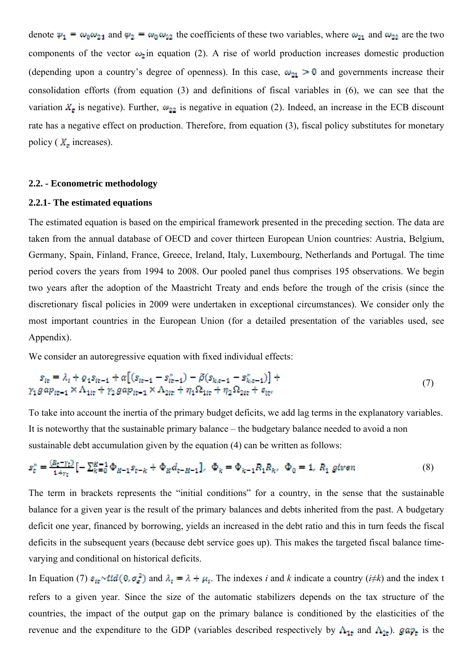denote  $\psi_1 = \omega_0 \omega_{21}$  and  $\psi_2 = \omega_0 \omega_{22}$  the coefficients of these two variables, where  $\omega_{21}$  and  $\omega_{22}$  are the two components of the vector  $\omega_2$  in equation (2). A rise of world production increases domestic production (depending upon a country's degree of openness). In this case,  $\omega_{21} > 0$  and governments increase their consolidation efforts (from equation (3) and definitions of fiscal variables in (6), we can see that the variation  $X_t$  is negative). Further,  $\omega_{22}$  is negative in equation (2). Indeed, an increase in the ECB discount rate has a negative effect on production. Therefore, from equation (3), fiscal policy substitutes for monetary policy ( $X_t$  increases).

#### **2.2. - Econometric methodology**

#### **2.2.1- The estimated equations**

The estimated equation is based on the empirical framework presented in the preceding section. The data are taken from the annual database of OECD and cover thirteen European Union countries: Austria, Belgium, Germany, Spain, Finland, France, Greece, Ireland, Italy, Luxembourg, Netherlands and Portugal. The time period covers the years from 1994 to 2008. Our pooled panel thus comprises 195 observations. We begin two years after the adoption of the Maastricht Treaty and ends before the trough of the crisis (since the discretionary fiscal policies in 2009 were undertaken in exceptional circumstances). We consider only the most important countries in the European Union (for a detailed presentation of the variables used, see Appendix).

We consider an autoregressive equation with fixed individual effects:

$$
s_{te} = \lambda_t + \varrho_1 s_{te-1} + \alpha [(s_{te-1} - s_{te-1}^*) - \tilde{\rho}(s_{k,e-1} - s_{k,e-1}^*)] +
$$
  
\n
$$
\gamma_1 g \alpha p_{te-1} \times \Lambda_{1te} + \gamma_2 g \alpha p_{te-1} \times \Lambda_{2te} + \eta_1 \Omega_{1te} + \eta_2 \Omega_{2te} + s_{te},
$$
\n(7)

To take into account the inertia of the primary budget deficits, we add lag terms in the explanatory variables. It is noteworthy that the sustainable primary balance – the budgetary balance needed to avoid a non sustainable debt accumulation given by the equation (4) can be written as follows:

$$
s_t^* = \frac{(R_t - \gamma_t)}{1 + \gamma_t} \left[ -\sum_{k=0}^{K-1} \Phi_{K-1} s_{t-k} + \Phi_K d_{t-K-1} \right], \quad \Phi_k = \Phi_{k-1} R_1 R_{k}, \quad \Phi_0 = 1, \ R_1 \text{ given} \tag{8}
$$

The term in brackets represents the "initial conditions" for a country, in the sense that the sustainable balance for a given year is the result of the primary balances and debts inherited from the past. A budgetary deficit one year, financed by borrowing, yields an increased in the debt ratio and this in turn feeds the fiscal deficits in the subsequent years (because debt service goes up). This makes the targeted fiscal balance timevarying and conditional on historical deficits.

In Equation (7)  $\epsilon_{tt} \sim ttd(0, \sigma_e^2)$  and  $\lambda_t = \lambda + \mu_t$ . The indexes *i* and *k* indicate a country (*i* $\neq$ *k*) and the index t refers to a given year. Since the size of the automatic stabilizers depends on the tax structure of the countries, the impact of the output gap on the primary balance is conditioned by the elasticities of the revenue and the expenditure to the GDP (variables described respectively by  $A_{1t}$  and  $A_{2t}$ ). gap<sub>t</sub> is the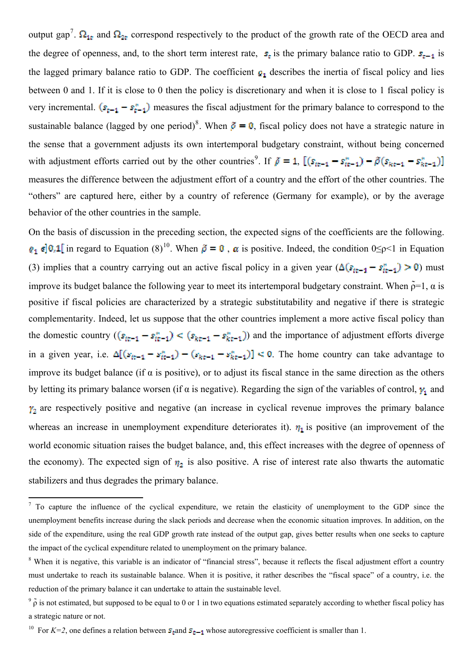<span id="page-10-0"></span>the degree of openness, and, to the short term interest rate,  $s_t$  is the primary balance ratio to GDP.  $s_{t-1}$  is the lagged [p](#page-10-0)rimary balance ratio to GDP. The coefficient  $q_1$  describes the inertia of fiscal policy and lies between 0 and 1. If it is close to 0 then the policy is discretionary and when it is close to 1 fiscal policy is very incremental.  $(s_{r-1} - s_{r-1}^*)$  measures the fiscal adjustment for the primary balance to correspond to the sustainable balance (lagged by one period)<sup>8</sup>. When  $\tilde{\rho} = 0$ , fiscal policy does not have a strategic nature in the sense that a government adjusts its own intertemporal budgetary constraint, without being concerned with adjustment eff[o](#page-10-0)rts carried out by the other countries<sup>9</sup>. If  $\rho = 1$ , measures the difference between the adjustment effort of a country and the effort of the other countries. The "others" are captured here, either by a country of refer[en](#page-10-0)ce (Germany for example), or by the average behavior of the other countries in the sample.

On the basis of discussion in the preceding section, the expected signs of the coefficients are the following.  $g_1 \in ]0,1[$  in regard to Equation (8)<sup>10</sup>. When  $\tilde{\rho} = 0$ ,  $\alpha$  is positive. Indeed, the condition  $0 \le p \le 1$  in Equation (3) implies that a country carrying out an active fiscal policy in a given year  $(\Delta(s_{tt-1} - s_{tt-1}) > 0)$  must improve its budget balance the foll[ow](#page-10-0)ing year to meet its intertemporal budgetary constraint. When  $\tilde{\rho}=1$ ,  $\alpha$  is positive if fiscal policies are characterized by a strategic substitutability and negative if there is strategic complementarity. Indeed, let us suppose that the other countries implement a more active fiscal policy than the domestic country  $((s_{it-1} - s_{it-1}^*) < (s_{kt-1} - s_{kt-1}^*)$  and the importance of adjustment efforts diverge in a given year, i.e.  $\Delta[(s_{it-1} - s_{it-1}^*) - (s_{kt-1} - s_{kt-1}^*)] < 0$ . The home country can take advantage to improve its budget balance (if  $\alpha$  is positive), or to adjust its fiscal stance in the same direction as the others by letting its primary balance worsen (if  $\alpha$  is negative). Regarding the sign of the variables of control,  $\gamma_1$  and  $y_2$  are respectively positive and negative (an increase in cyclical revenue improves the primary balance whereas an increase in unemployment expenditure deteriorates it).  $\eta_1$  is positive (an improvement of the world economic situation raises the budget balance, and, this effect increases with the degree of openness of the economy). The expected sign of  $\eta_2$  is also positive. A rise of interest rate also thwarts the automatic stabilizers and thus degrades the primary balance.

<sup>&</sup>lt;sup>7</sup> To capture the influence of the cyclical expenditure, we retain the elasticity of unemployment to the GDP since the unemployment benefits increase during the slack periods and decrease when the economic situation improves. In addition, on the side of the expenditure, using the real GDP growth rate instead of the output gap, gives better results when one seeks to capture the impact of the cyclical expenditure related to unemployment on the primary balance.

<sup>&</sup>lt;sup>8</sup> When it is negative, this variable is an indicator of "financial stress", because it reflects the fiscal adjustment effort a country must undertake to reach its sustainable balance. When it is positive, it rather describes the "fiscal space" of a country, i.e. the reduction of the primary balance it can undertake to attain the sustainable level.

 $9\tilde{\rho}$  is not estimated, but supposed to be equal to 0 or 1 in two equations estimated separately according to whether fiscal policy has a strategic nature or not.

<sup>&</sup>lt;sup>10</sup> For *K*=2, one defines a relation between  $s_{\tau}$  and  $s_{\tau-1}$  whose autoregressive coefficient is smaller than 1.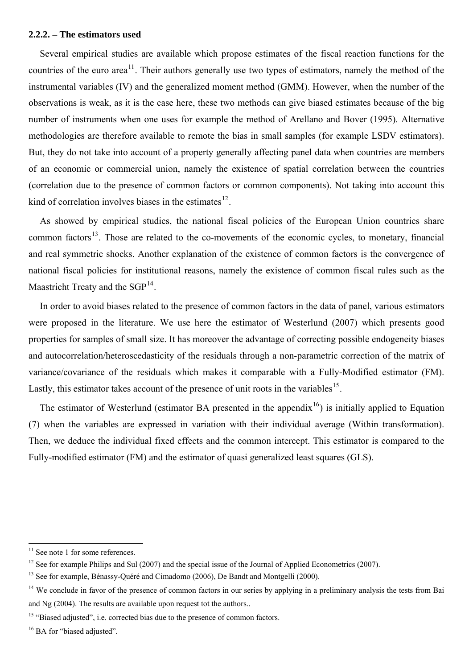<span id="page-11-0"></span>Several empirical studies are available which propose estimates of the fiscal reaction functions for the countries of the euro area<sup>11</sup>. Their authors generally use two types of estimators, namely the method of the instrumental variables (IV) and the generalized moment method (GMM). However, when the number of the observations is weak, as i[t i](#page-11-0)s the case here, these two methods can give biased estimates because of the big number of instruments when one uses for example the method of Arellano and Bover (1995). Alternative methodologies are therefore available to remote the bias in small samples (for example LSDV estimators). But, they do not take into account of a property generally affecting panel data when countries are members of an economic or commercial union, namely the existence of spatial correlation between the countries (correlation due to the presence of common factors or common components). Not taking into account this kind of correlation involves biases in the estimates $^{12}$ .

As showed by empirical studies, the national fiscal policies of the European Union countries share common factors<sup>13</sup>. Those are related to the co-m[ov](#page-11-0)ements of the economic cycles, to monetary, financial and real symmetric shocks. Another explanation of the existence of common factors is the convergence of national fiscal p[ol](#page-11-0)icies for institutional reasons, namely the existence of common fiscal rules such as the Maastricht Treaty and the  $SGP<sup>14</sup>$ .

In order to avoid biases related to the presence of common factors in the data of panel, various estimators were proposed in the literatu[re.](#page-11-0) We use here the estimator of Westerlund (2007) which presents good properties for samples of small size. It has moreover the advantage of correcting possible endogeneity biases and autocorrelation/heteroscedasticity of the residuals through a non-parametric correction of the matrix of variance/covariance of the residuals which makes it comparable with a Fully-Modified estimator (FM). Lastly, this estimator takes account of the presence of unit roots in the variables<sup>15</sup>.

The estimator of Westerlund (estimator BA presented in the appendix<sup>16</sup>) is initially applied to Equation (7) when the variables are expressed in variation with their individual aver[ag](#page-11-0)e (Within transformation). Then, we deduce the individual fixed effects and the common intercept. [Th](#page-11-0)is estimator is compared to the Fully-modified estimator (FM) and the estimator of quasi generalized least squares (GLS).

  $11$  See note 1 for some references.

<sup>&</sup>lt;sup>12</sup> See for example Philips and Sul (2007) and the special issue of the Journal of Applied Econometrics (2007).

<sup>&</sup>lt;sup>13</sup> See for example, Bénassy-Quéré and Cimadomo (2006), De Bandt and Montgelli (2000).

<sup>&</sup>lt;sup>14</sup> We conclude in favor of the presence of common factors in our series by applying in a preliminary analysis the tests from Bai and Ng (2004). The results are available upon request tot the authors..

<sup>&</sup>lt;sup>15</sup> "Biased adjusted", i.e. corrected bias due to the presence of common factors.

<sup>&</sup>lt;sup>16</sup> BA for "biased adjusted".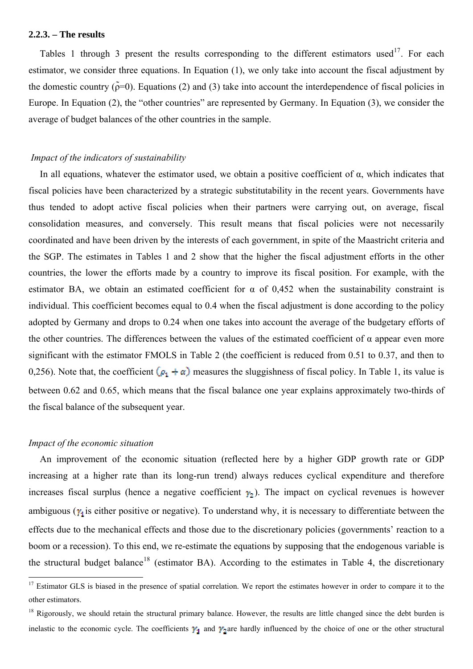<span id="page-12-0"></span>Tables 1 through 3 present the results corresponding to the different estimators used<sup>17</sup>. For each estimator, we consider three equations. In Equation (1), we only take into account the fiscal adjustment by the domestic country ( $\tilde{\rho}=0$ ). Equations (2) and (3) take into account the interdependence of fis[cal](#page-12-0) policies in Europe. In Equation (2), the "other countries" are represented by Germany. In Equation (3), we consider the average of budget balances of the other countries in the sample.

#### *Impact of the indicators of sustainability*

In all equations, whatever the estimator used, we obtain a positive coefficient of  $\alpha$ , which indicates that fiscal policies have been characterized by a strategic substitutability in the recent years. Governments have thus tended to adopt active fiscal policies when their partners were carrying out, on average, fiscal consolidation measures, and conversely. This result means that fiscal policies were not necessarily coordinated and have been driven by the interests of each government, in spite of the Maastricht criteria and the SGP. The estimates in Tables 1 and 2 show that the higher the fiscal adjustment efforts in the other countries, the lower the efforts made by a country to improve its fiscal position. For example, with the estimator BA, we obtain an estimated coefficient for  $\alpha$  of 0,452 when the sustainability constraint is individual. This coefficient becomes equal to 0.4 when the fiscal adjustment is done according to the policy adopted by Germany and drops to 0.24 when one takes into account the average of the budgetary efforts of the other countries. The differences between the values of the estimated coefficient of  $\alpha$  appear even more significant with the estimator FMOLS in Table 2 (the coefficient is reduced from 0.51 to 0.37, and then to 0,256). Note that, the coefficient  $(\rho_1 + \alpha)$  measures the sluggishness of fiscal policy. In Table 1, its value is between 0.62 and 0.65, which means that the fiscal balance one year explains approximately two-thirds of the fiscal balance of the subsequent year.

#### *Impact of the economic situation*

 An improvement of the economic situation (reflected here by a higher GDP growth rate or GDP increasing at a higher rate than its long-run trend) always reduces cyclical expenditure and therefore increases fiscal surplus (hence a negative coefficient  $\gamma_2$ ). The impact on cyclical revenues is however ambiguous ( $\gamma_1$  is either positive or negative). To understand why, it is necessary to differentiate between the effects due to the mechanical effects and those due to the discretionary policies (governments' reaction to a boom or a recession). To this end, we re-estimate the equations by supposing that the endogenous variable is the structural budget balance<sup>18</sup> (estimator BA). According to the estimates in Table 4, the discretionary

 $17$  Estimator GLS is biased in the presence of spatial correlation. We report the estimates however in order to compare it to the other estimators.

 $18$  Rigorously, we should retain the structural primary balance. However, the results are little changed since the debt burden is inelastic to the economic cycle. The coefficients  $\gamma_1$  and  $\gamma_2$  are hardly influenced by the choice of one or the other structural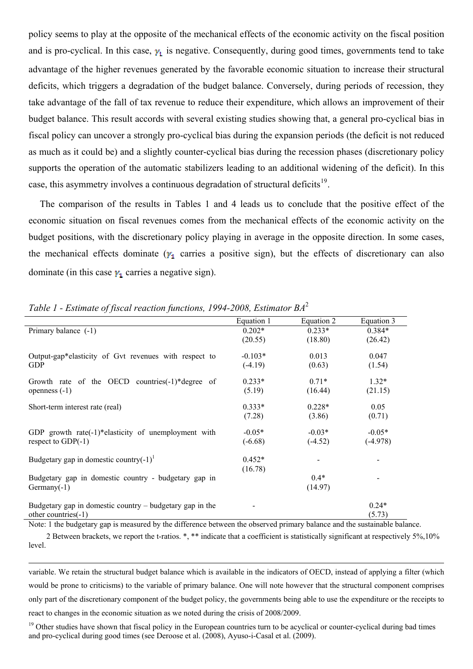<span id="page-13-0"></span>and is pro-cyclical. In this case,  $y_t$  is negative. Consequently, during good times, governments tend to take advantage of the higher revenues generated by the favorable economic situation to increase their structural deficits, which triggers a degradation of the budget balance. Conversely, during periods of recession, they take advantage of the fall of tax revenue to reduce their expenditure, which allows an improvement of their budget balance. This result accords with several existing studies showing that, a general pro-cyclical bias in fiscal policy can uncover a strongly pro-cyclical bias during the expansion periods (the deficit is not reduced as much as it could be) and a slightly counter-cyclical bias during the recession phases (discretionary policy supports the operation of the automatic stabilizers leading to an additional widening of the deficit). In this case, this asymmetry involves a continuous degradation of structural deficits<sup>19</sup>.

 The comparison of the results in Tables 1 and 4 leads us to conclude that the positive effect of the economic situation on fiscal revenues comes from the mechanical effects [of](#page-13-0) the economic activity on the budget positions, with the discretionary policy playing in average in the opposite direction. In some cases, the mechanical effects dominate ( $y_1$  carries a positive sign), but the effects of discretionary can also dominate (in this case  $\gamma_1$  carries a negative sign).

|                                                            | Equation 1 | Equation 2 | Equation 3 |
|------------------------------------------------------------|------------|------------|------------|
| Primary balance (-1)                                       | $0.202*$   | $0.233*$   | $0.384*$   |
|                                                            | (20.55)    | (18.80)    | (26.42)    |
| Output-gap*elasticity of Gvt revenues with respect to      | $-0.103*$  | 0.013      | 0.047      |
| <b>GDP</b>                                                 | $(-4.19)$  | (0.63)     | (1.54)     |
| Growth rate of the OECD countries $(-1)^*$ degree of       | $0.233*$   | $0.71*$    | $1.32*$    |
| openness $(-1)$                                            | (5.19)     | (16.44)    | (21.15)    |
| Short-term interest rate (real)                            | $0.333*$   | $0.228*$   | 0.05       |
|                                                            | (7.28)     | (3.86)     | (0.71)     |
| GDP growth rate $(-1)$ *elasticity of unemployment with    | $-0.05*$   | $-0.03*$   | $-0.05*$   |
| respect to $GDP(-1)$                                       | $(-6.68)$  | $(-4.52)$  | $(-4.978)$ |
| Budgetary gap in domestic country(-1) <sup>1</sup>         | $0.452*$   |            |            |
|                                                            | (16.78)    |            |            |
| Budgetary gap in domestic country - budgetary gap in       |            | $0.4*$     |            |
| $Germany(-1)$                                              |            | (14.97)    |            |
| Budgetary gap in domestic country $-$ budgetary gap in the |            |            | $0.24*$    |
| other countries $(-1)$                                     |            |            | (5.73)     |

*Table 1 - Estimate of fiscal reaction functions, 1994-2008, Estimator BA*<sup>2</sup>

Note: 1 the budgetary gap is measured by the difference between the observed primary balance and the sustainable balance.

 2 Between brackets, we report the t-ratios. \*, \*\* indicate that a coefficient is statistically significant at respectively 5%,10% level.

variable. We retain the structural budget balance which is available in the indicators of OECD, instead of applying a filter (which would be prone to criticisms) to the variable of primary balance. One will note however that the structural component comprises only part of the discretionary component of the budget policy, the governments being able to use the expenditure or the receipts to react to changes in the economic situation as we noted during the crisis of 2008/2009.

<u> 1989 - Johann Stoff, amerikansk politiker (d. 1989)</u>

<sup>19</sup> Other studies have shown that fiscal policy in the European countries turn to be acyclical or counter-cyclical during bad times and pro-cyclical during good times (see Deroose et al. (2008), Ayuso-i-Casal et al. (2009).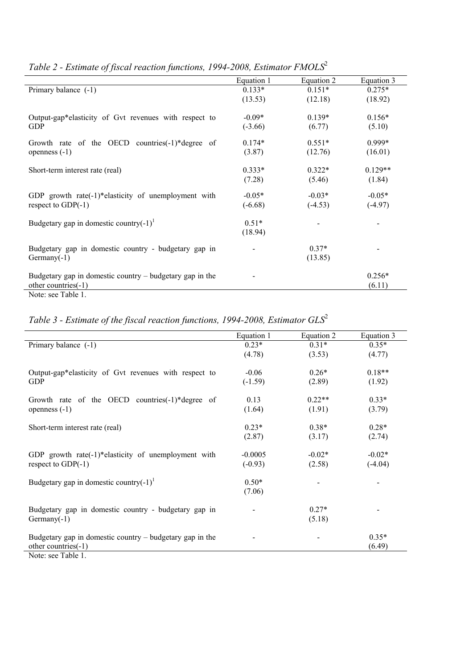|                                                            | Equation 1 | Equation 2 | Equation 3 |
|------------------------------------------------------------|------------|------------|------------|
| Primary balance (-1)                                       | $0.133*$   | $0.151*$   | $0.275*$   |
|                                                            | (13.53)    | (12.18)    | (18.92)    |
| Output-gap*elasticity of Gvt revenues with respect to      | $-0.09*$   | $0.139*$   | $0.156*$   |
| <b>GDP</b>                                                 | $(-3.66)$  | (6.77)     | (5.10)     |
| Growth rate of the OECD countries $(-1)^*$ degree of       | $0.174*$   | $0.551*$   | $0.999*$   |
| openness $(-1)$                                            | (3.87)     | (12.76)    | (16.01)    |
| Short-term interest rate (real)                            | $0.333*$   | $0.322*$   | $0.129**$  |
|                                                            | (7.28)     | (5.46)     | (1.84)     |
| GDP growth rate( $-1$ )*elasticity of unemployment with    | $-0.05*$   | $-0.03*$   | $-0.05*$   |
| respect to $GDP(-1)$                                       | $(-6.68)$  | $(-4.53)$  | $(-4.97)$  |
| Budgetary gap in domestic country $(-1)^1$                 | $0.51*$    |            |            |
|                                                            | (18.94)    |            |            |
| Budgetary gap in domestic country - budgetary gap in       |            | $0.37*$    |            |
| $Germany(-1)$                                              |            | (13.85)    |            |
| Budgetary gap in domestic country $-$ budgetary gap in the |            |            | $0.256*$   |
| other countries(-1)                                        |            |            | (6.11)     |
| Note: see Table 1.                                         |            |            |            |

*Table 2 - Estimate of fiscal reaction functions, 1994-2008, Estimator FMOLS*<sup>2</sup>

*Table 3 - Estimate of the fiscal reaction functions, 1994-2008, Estimator GLS*<sup>2</sup>

|                                                            | Equation 1 | Equation 2 | Equation 3 |
|------------------------------------------------------------|------------|------------|------------|
| Primary balance (-1)                                       | $0.23*$    | $0.31*$    | $0.35*$    |
|                                                            | (4.78)     | (3.53)     | (4.77)     |
| Output-gap*elasticity of Gvt revenues with respect to      | $-0.06$    | $0.26*$    | $0.18**$   |
| <b>GDP</b>                                                 | $(-1.59)$  | (2.89)     | (1.92)     |
| Growth rate of the OECD countries(-1)*degree of            | 0.13       | $0.22**$   | $0.33*$    |
| openness $(-1)$                                            | (1.64)     | (1.91)     | (3.79)     |
| Short-term interest rate (real)                            | $0.23*$    | $0.38*$    | $0.28*$    |
|                                                            | (2.87)     | (3.17)     | (2.74)     |
| GDP growth rate $(-1)^*$ elasticity of unemployment with   | $-0.0005$  | $-0.02*$   | $-0.02*$   |
| respect to $GDP(-1)$                                       | $(-0.93)$  | (2.58)     | $(-4.04)$  |
| Budgetary gap in domestic country(-1) <sup>1</sup>         | $0.50*$    |            |            |
|                                                            | (7.06)     |            |            |
| Budgetary gap in domestic country - budgetary gap in       |            | $0.27*$    |            |
| $Germany(-1)$                                              |            | (5.18)     |            |
| Budgetary gap in domestic country $-$ budgetary gap in the |            |            | $0.35*$    |
| other countries(-1)                                        |            |            | (6.49)     |
| Note: see Table 1.                                         |            |            |            |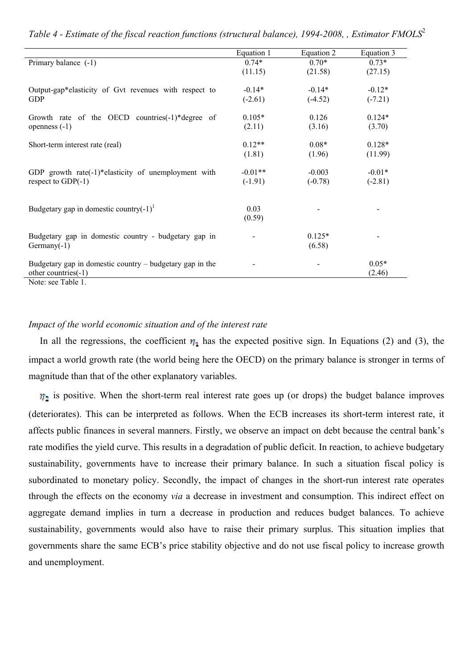|                                                            | Equation 1     | Equation 2 | Equation 3 |
|------------------------------------------------------------|----------------|------------|------------|
| Primary balance (-1)                                       | $0.74*$        | $0.70*$    | $0.73*$    |
|                                                            | (11.15)        | (21.58)    | (27.15)    |
| Output-gap*elasticity of Gvt revenues with respect to      | $-0.14*$       | $-0.14*$   | $-0.12*$   |
| GDP                                                        | $(-2.61)$      | $(-4.52)$  | $(-7.21)$  |
| Growth rate of the OECD countries(-1)*degree of            | $0.105*$       | 0.126      | $0.124*$   |
| openness $(-1)$                                            | (2.11)         | (3.16)     | (3.70)     |
| Short-term interest rate (real)                            | $0.12**$       | $0.08*$    | $0.128*$   |
|                                                            | (1.81)         | (1.96)     | (11.99)    |
| GDP growth rate(-1)*elasticity of unemployment with        | $-0.01**$      | $-0.003$   | $-0.01*$   |
| respect to $GDP(-1)$                                       | $(-1.91)$      | $(-0.78)$  | $(-2.81)$  |
|                                                            |                |            |            |
| Budgetary gap in domestic country(-1) <sup>1</sup>         | 0.03<br>(0.59) |            |            |
|                                                            |                |            |            |
| Budgetary gap in domestic country - budgetary gap in       |                | $0.125*$   |            |
| $Germany(-1)$                                              |                | (6.58)     |            |
| Budgetary gap in domestic country $-$ budgetary gap in the |                |            | $0.05*$    |
| other countries(-1)                                        |                |            | (2.46)     |

*Table 4 - Estimate of the fiscal reaction functions (structural balance), 1994-2008, , Estimator FMOLS*<sup>2</sup>

Note: see Table 1.

#### *Impact of the world economic situation and of the interest rate*

In all the regressions, the coefficient  $\eta_1$  has the expected positive sign. In Equations (2) and (3), the impact a world growth rate (the world being here the OECD) on the primary balance is stronger in terms of magnitude than that of the other explanatory variables.

 $\eta_2$  is positive. When the short-term real interest rate goes up (or drops) the budget balance improves (deteriorates). This can be interpreted as follows. When the ECB increases its short-term interest rate, it affects public finances in several manners. Firstly, we observe an impact on debt because the central bank's rate modifies the yield curve. This results in a degradation of public deficit. In reaction, to achieve budgetary sustainability, governments have to increase their primary balance. In such a situation fiscal policy is subordinated to monetary policy. Secondly, the impact of changes in the short-run interest rate operates through the effects on the economy *via* a decrease in investment and consumption. This indirect effect on aggregate demand implies in turn a decrease in production and reduces budget balances. To achieve sustainability, governments would also have to raise their primary surplus. This situation implies that governments share the same ECB's price stability objective and do not use fiscal policy to increase growth and unemployment.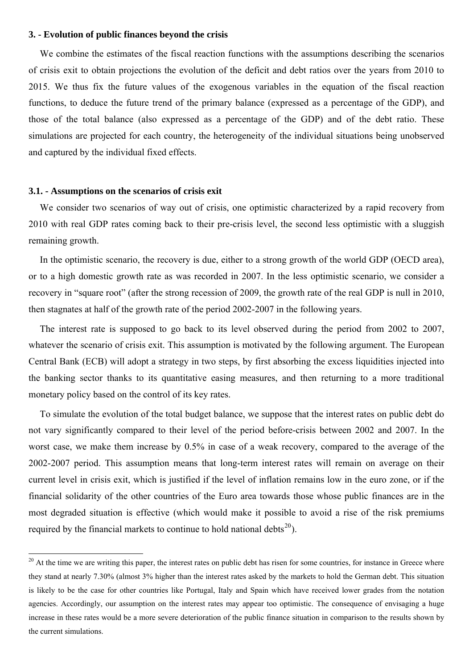<span id="page-16-0"></span> We combine the estimates of the fiscal reaction functions with the assumptions describing the scenarios of crisis exit to obtain projections the evolution of the deficit and debt ratios over the years from 2010 to 2015. We thus fix the future values of the exogenous variables in the equation of the fiscal reaction functions, to deduce the future trend of the primary balance (expressed as a percentage of the GDP), and those of the total balance (also expressed as a percentage of the GDP) and of the debt ratio. These simulations are projected for each country, the heterogeneity of the individual situations being unobserved and captured by the individual fixed effects.

#### **3.1. - Assumptions on the scenarios of crisis exit**

 We consider two scenarios of way out of crisis, one optimistic characterized by a rapid recovery from 2010 with real GDP rates coming back to their pre-crisis level, the second less optimistic with a sluggish remaining growth.

 In the optimistic scenario, the recovery is due, either to a strong growth of the world GDP (OECD area), or to a high domestic growth rate as was recorded in 2007. In the less optimistic scenario, we consider a recovery in "square root" (after the strong recession of 2009, the growth rate of the real GDP is null in 2010, then stagnates at half of the growth rate of the period 2002-2007 in the following years.

 The interest rate is supposed to go back to its level observed during the period from 2002 to 2007, whatever the scenario of crisis exit. This assumption is motivated by the following argument. The European Central Bank (ECB) will adopt a strategy in two steps, by first absorbing the excess liquidities injected into the banking sector thanks to its quantitative easing measures, and then returning to a more traditional monetary policy based on the control of its key rates.

 To simulate the evolution of the total budget balance, we suppose that the interest rates on public debt do not vary significantly compared to their level of the period before-crisis between 2002 and 2007. In the worst case, we make them increase by 0.5% in case of a weak recovery, compared to the average of the 2002-2007 period. This assumption means that long-term interest rates will remain on average on their current level in crisis exit, which is justified if the level of inflation remains low in the euro zone, or if the financial solidarity of the other countries of the Euro area towards those whose public finances are in the most degraded situation is effective (which would make it possible to avoid a rise of the risk premiums required by the financial markets to continue to hold national debts<sup>20</sup>).

 $20$  At the time we are writing this paper, the interest rates on public debt has rise[n f](#page-16-0)or some countries, for instance in Greece where they stand at nearly 7.30% (almost 3% higher than the interest rates asked by the markets to hold the German debt. This situation is likely to be the case for other countries like Portugal, Italy and Spain which have received lower grades from the notation agencies. Accordingly, our assumption on the interest rates may appear too optimistic. The consequence of envisaging a huge increase in these rates would be a more severe deterioration of the public finance situation in comparison to the results shown by the current simulations.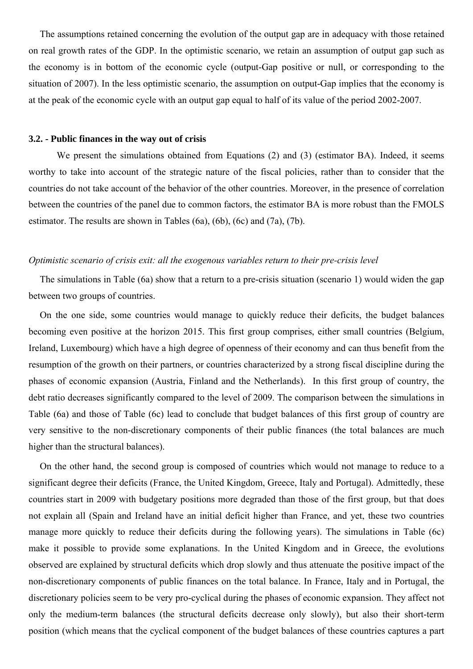The assumptions retained concerning the evolution of the output gap are in adequacy with those retained on real growth rates of the GDP. In the optimistic scenario, we retain an assumption of output gap such as the economy is in bottom of the economic cycle (output-Gap positive or null, or corresponding to the situation of 2007). In the less optimistic scenario, the assumption on output-Gap implies that the economy is at the peak of the economic cycle with an output gap equal to half of its value of the period 2002-2007.

#### **3.2. - Public finances in the way out of crisis**

We present the simulations obtained from Equations (2) and (3) (estimator BA). Indeed, it seems worthy to take into account of the strategic nature of the fiscal policies, rather than to consider that the countries do not take account of the behavior of the other countries. Moreover, in the presence of correlation between the countries of the panel due to common factors, the estimator BA is more robust than the FMOLS estimator. The results are shown in Tables (6a), (6b), (6c) and (7a), (7b).

#### *Optimistic scenario of crisis exit: all the exogenous variables return to their pre-crisis level*

 The simulations in Table (6a) show that a return to a pre-crisis situation (scenario 1) would widen the gap between two groups of countries.

 On the one side, some countries would manage to quickly reduce their deficits, the budget balances becoming even positive at the horizon 2015. This first group comprises, either small countries (Belgium, Ireland, Luxembourg) which have a high degree of openness of their economy and can thus benefit from the resumption of the growth on their partners, or countries characterized by a strong fiscal discipline during the phases of economic expansion (Austria, Finland and the Netherlands). In this first group of country, the debt ratio decreases significantly compared to the level of 2009. The comparison between the simulations in Table (6a) and those of Table (6c) lead to conclude that budget balances of this first group of country are very sensitive to the non-discretionary components of their public finances (the total balances are much higher than the structural balances).

 On the other hand, the second group is composed of countries which would not manage to reduce to a significant degree their deficits (France, the United Kingdom, Greece, Italy and Portugal). Admittedly, these countries start in 2009 with budgetary positions more degraded than those of the first group, but that does not explain all (Spain and Ireland have an initial deficit higher than France, and yet, these two countries manage more quickly to reduce their deficits during the following years). The simulations in Table (6c) make it possible to provide some explanations. In the United Kingdom and in Greece, the evolutions observed are explained by structural deficits which drop slowly and thus attenuate the positive impact of the non-discretionary components of public finances on the total balance. In France, Italy and in Portugal, the discretionary policies seem to be very pro-cyclical during the phases of economic expansion. They affect not only the medium-term balances (the structural deficits decrease only slowly), but also their short-term position (which means that the cyclical component of the budget balances of these countries captures a part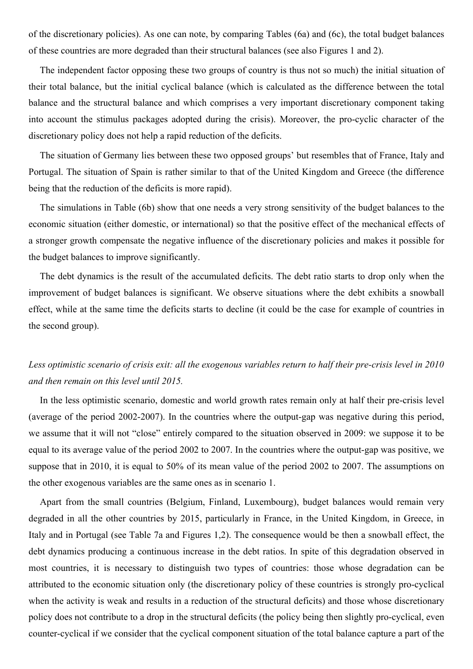of the discretionary policies). As one can note, by comparing Tables (6a) and (6c), the total budget balances of these countries are more degraded than their structural balances (see also Figures 1 and 2).

 The independent factor opposing these two groups of country is thus not so much) the initial situation of their total balance, but the initial cyclical balance (which is calculated as the difference between the total balance and the structural balance and which comprises a very important discretionary component taking into account the stimulus packages adopted during the crisis). Moreover, the pro-cyclic character of the discretionary policy does not help a rapid reduction of the deficits.

 The situation of Germany lies between these two opposed groups' but resembles that of France, Italy and Portugal. The situation of Spain is rather similar to that of the United Kingdom and Greece (the difference being that the reduction of the deficits is more rapid).

 The simulations in Table (6b) show that one needs a very strong sensitivity of the budget balances to the economic situation (either domestic, or international) so that the positive effect of the mechanical effects of a stronger growth compensate the negative influence of the discretionary policies and makes it possible for the budget balances to improve significantly.

 The debt dynamics is the result of the accumulated deficits. The debt ratio starts to drop only when the improvement of budget balances is significant. We observe situations where the debt exhibits a snowball effect, while at the same time the deficits starts to decline (it could be the case for example of countries in the second group).

## *Less optimistic scenario of crisis exit: all the exogenous variables return to half their pre-crisis level in 2010 and then remain on this level until 2015.*

 In the less optimistic scenario, domestic and world growth rates remain only at half their pre-crisis level (average of the period 2002-2007). In the countries where the output-gap was negative during this period, we assume that it will not "close" entirely compared to the situation observed in 2009: we suppose it to be equal to its average value of the period 2002 to 2007. In the countries where the output-gap was positive, we suppose that in 2010, it is equal to 50% of its mean value of the period 2002 to 2007. The assumptions on the other exogenous variables are the same ones as in scenario 1.

 Apart from the small countries (Belgium, Finland, Luxembourg), budget balances would remain very degraded in all the other countries by 2015, particularly in France, in the United Kingdom, in Greece, in Italy and in Portugal (see Table 7a and Figures 1,2). The consequence would be then a snowball effect, the debt dynamics producing a continuous increase in the debt ratios. In spite of this degradation observed in most countries, it is necessary to distinguish two types of countries: those whose degradation can be attributed to the economic situation only (the discretionary policy of these countries is strongly pro-cyclical when the activity is weak and results in a reduction of the structural deficits) and those whose discretionary policy does not contribute to a drop in the structural deficits (the policy being then slightly pro-cyclical, even counter-cyclical if we consider that the cyclical component situation of the total balance capture a part of the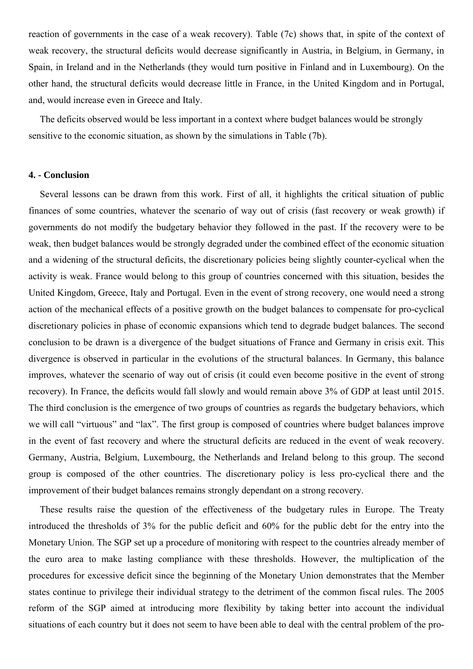reaction of governments in the case of a weak recovery). Table (7c) shows that, in spite of the context of weak recovery, the structural deficits would decrease significantly in Austria, in Belgium, in Germany, in Spain, in Ireland and in the Netherlands (they would turn positive in Finland and in Luxembourg). On the other hand, the structural deficits would decrease little in France, in the United Kingdom and in Portugal, and, would increase even in Greece and Italy.

 The deficits observed would be less important in a context where budget balances would be strongly sensitive to the economic situation, as shown by the simulations in Table (7b).

#### **4. - Conclusion**

 Several lessons can be drawn from this work. First of all, it highlights the critical situation of public finances of some countries, whatever the scenario of way out of crisis (fast recovery or weak growth) if governments do not modify the budgetary behavior they followed in the past. If the recovery were to be weak, then budget balances would be strongly degraded under the combined effect of the economic situation and a widening of the structural deficits, the discretionary policies being slightly counter-cyclical when the activity is weak. France would belong to this group of countries concerned with this situation, besides the United Kingdom, Greece, Italy and Portugal. Even in the event of strong recovery, one would need a strong action of the mechanical effects of a positive growth on the budget balances to compensate for pro-cyclical discretionary policies in phase of economic expansions which tend to degrade budget balances. The second conclusion to be drawn is a divergence of the budget situations of France and Germany in crisis exit. This divergence is observed in particular in the evolutions of the structural balances. In Germany, this balance improves, whatever the scenario of way out of crisis (it could even become positive in the event of strong recovery). In France, the deficits would fall slowly and would remain above 3% of GDP at least until 2015. The third conclusion is the emergence of two groups of countries as regards the budgetary behaviors, which we will call "virtuous" and "lax". The first group is composed of countries where budget balances improve in the event of fast recovery and where the structural deficits are reduced in the event of weak recovery. Germany, Austria, Belgium, Luxembourg, the Netherlands and Ireland belong to this group. The second group is composed of the other countries. The discretionary policy is less pro-cyclical there and the improvement of their budget balances remains strongly dependant on a strong recovery.

 These results raise the question of the effectiveness of the budgetary rules in Europe. The Treaty introduced the thresholds of 3% for the public deficit and 60% for the public debt for the entry into the Monetary Union. The SGP set up a procedure of monitoring with respect to the countries already member of the euro area to make lasting compliance with these thresholds. However, the multiplication of the procedures for excessive deficit since the beginning of the Monetary Union demonstrates that the Member states continue to privilege their individual strategy to the detriment of the common fiscal rules. The 2005 reform of the SGP aimed at introducing more flexibility by taking better into account the individual situations of each country but it does not seem to have been able to deal with the central problem of the pro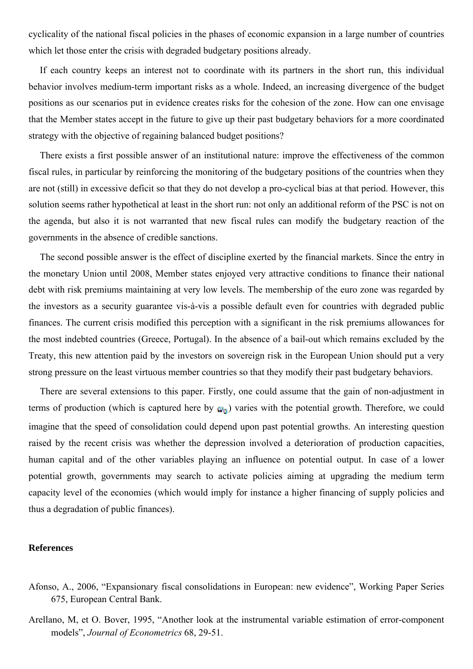cyclicality of the national fiscal policies in the phases of economic expansion in a large number of countries which let those enter the crisis with degraded budgetary positions already.

 If each country keeps an interest not to coordinate with its partners in the short run, this individual behavior involves medium-term important risks as a whole. Indeed, an increasing divergence of the budget positions as our scenarios put in evidence creates risks for the cohesion of the zone. How can one envisage that the Member states accept in the future to give up their past budgetary behaviors for a more coordinated strategy with the objective of regaining balanced budget positions?

 There exists a first possible answer of an institutional nature: improve the effectiveness of the common fiscal rules, in particular by reinforcing the monitoring of the budgetary positions of the countries when they are not (still) in excessive deficit so that they do not develop a pro-cyclical bias at that period. However, this solution seems rather hypothetical at least in the short run: not only an additional reform of the PSC is not on the agenda, but also it is not warranted that new fiscal rules can modify the budgetary reaction of the governments in the absence of credible sanctions.

 The second possible answer is the effect of discipline exerted by the financial markets. Since the entry in the monetary Union until 2008, Member states enjoyed very attractive conditions to finance their national debt with risk premiums maintaining at very low levels. The membership of the euro zone was regarded by the investors as a security guarantee vis-à-vis a possible default even for countries with degraded public finances. The current crisis modified this perception with a significant in the risk premiums allowances for the most indebted countries (Greece, Portugal). In the absence of a bail-out which remains excluded by the Treaty, this new attention paid by the investors on sovereign risk in the European Union should put a very strong pressure on the least virtuous member countries so that they modify their past budgetary behaviors.

 There are several extensions to this paper. Firstly, one could assume that the gain of non-adjustment in terms of production (which is captured here by  $\omega_0$ ) varies with the potential growth. Therefore, we could imagine that the speed of consolidation could depend upon past potential growths. An interesting question raised by the recent crisis was whether the depression involved a deterioration of production capacities, human capital and of the other variables playing an influence on potential output. In case of a lower potential growth, governments may search to activate policies aiming at upgrading the medium term capacity level of the economies (which would imply for instance a higher financing of supply policies and thus a degradation of public finances).

#### **References**

- Afonso, A., 2006, "Expansionary fiscal consolidations in European: new evidence", Working Paper Series 675, European Central Bank.
- Arellano, M, et O. Bover, 1995, "Another look at the instrumental variable estimation of error-component models", *Journal of Econometrics* 68, 29-51.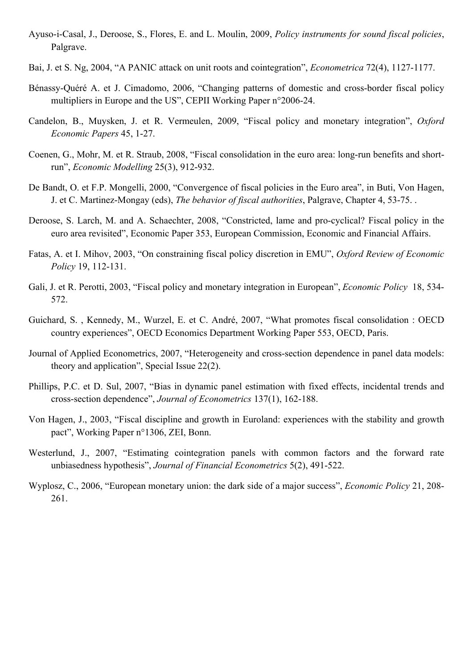- Ayuso-i-Casal, J., Deroose, S., Flores, E. and L. Moulin, 2009, *Policy instruments for sound fiscal policies*, Palgrave.
- Bai, J. et S. Ng, 2004, "A PANIC attack on unit roots and cointegration", *Econometrica* 72(4), 1127-1177.
- Bénassy-Quéré A. et J. Cimadomo, 2006, "Changing patterns of domestic and cross-border fiscal policy multipliers in Europe and the US", CEPII Working Paper n°2006-24.
- Candelon, B., Muysken, J. et R. Vermeulen, 2009, "Fiscal policy and monetary integration", *Oxford Economic Papers* 45, 1-27.
- Coenen, G., Mohr, M. et R. Straub, 2008, "Fiscal consolidation in the euro area: long-run benefits and shortrun", *Economic Modelling* 25(3), 912-932.
- De Bandt, O. et F.P. Mongelli, 2000, "Convergence of fiscal policies in the Euro area", in Buti, Von Hagen, J. et C. Martinez-Mongay (eds), *The behavior of fiscal authorities*, Palgrave, Chapter 4, 53-75. .
- Deroose, S. Larch, M. and A. Schaechter, 2008, "Constricted, lame and pro-cyclical? Fiscal policy in the euro area revisited", Economic Paper 353, European Commission, Economic and Financial Affairs.
- Fatas, A. et I. Mihov, 2003, "On constraining fiscal policy discretion in EMU", *Oxford Review of Economic Policy* 19, 112-131.
- Gali, J. et R. Perotti, 2003, "Fiscal policy and monetary integration in European", *Economic Policy* 18, 534- 572.
- Guichard, S. , Kennedy, M., Wurzel, E. et C. André, 2007, "What promotes fiscal consolidation : OECD country experiences", OECD Economics Department Working Paper 553, OECD, Paris.
- Journal of Applied Econometrics, 2007, "Heterogeneity and cross-section dependence in panel data models: theory and application", Special Issue 22(2).
- Phillips, P.C. et D. Sul, 2007, "Bias in dynamic panel estimation with fixed effects, incidental trends and cross-section dependence", *Journal of Econometrics* 137(1), 162-188.
- Von Hagen, J., 2003, "Fiscal discipline and growth in Euroland: experiences with the stability and growth pact", Working Paper n°1306, ZEI, Bonn.
- Westerlund, J., 2007, "Estimating cointegration panels with common factors and the forward rate unbiasedness hypothesis", *Journal of Financial Econometrics* 5(2), 491-522.
- Wyplosz, C., 2006, "European monetary union: the dark side of a major success", *Economic Policy* 21, 208- 261.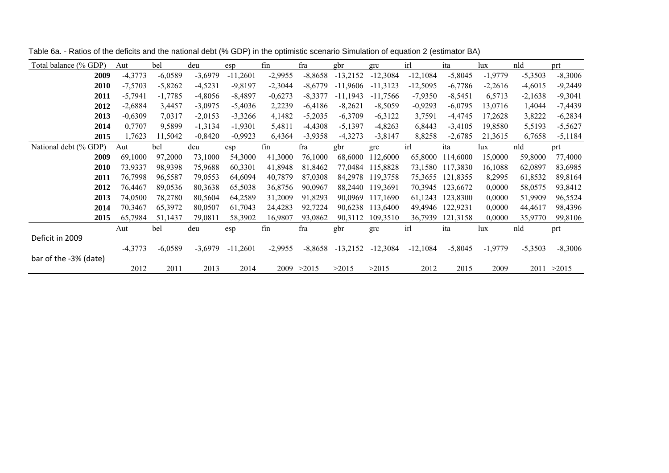| Total balance (% GDP) | Aut       | bel       | deu       | esp        | fin       | fra         | gbr        | grc        | irl        | ita       | lux       | nld       | prt         |
|-----------------------|-----------|-----------|-----------|------------|-----------|-------------|------------|------------|------------|-----------|-----------|-----------|-------------|
| 2009                  | $-4,3773$ | $-6,0589$ | $-3,6979$ | $-11,2601$ | $-2,9955$ | $-8,8658$   | $-13,2152$ | $-12,3084$ | $-12,1084$ | $-5,8045$ | $-1,9779$ | $-5,3503$ | $-8,3006$   |
| 2010                  | $-7,5703$ | $-5,8262$ | $-4,5231$ | $-9,8197$  | $-2,3044$ | $-8,6779$   | $-11,9606$ | $-11,3123$ | $-12,5095$ | $-6,7786$ | $-2,2616$ | $-4,6015$ | $-9,2449$   |
| 2011                  | $-5,7941$ | $-1,7785$ | $-4,8056$ | $-8,4897$  | $-0,6273$ | $-8,3377$   | $-11,1943$ | $-11,7566$ | $-7,9350$  | $-8,5451$ | 6,5713    | $-2,1638$ | $-9,3041$   |
| 2012                  | $-2,6884$ | 3,4457    | $-3,0975$ | $-5,4036$  | 2,2239    | $-6,4186$   | $-8,2621$  | $-8,5059$  | $-0,9293$  | $-6,0795$ | 13,0716   | 1,4044    | $-7,4439$   |
| 2013                  | $-0,6309$ | 7,0317    | $-2,0153$ | $-3,3266$  | 4,1482    | $-5,2035$   | $-6,3709$  | $-6,3122$  | 3,7591     | $-4,4745$ | 17,2628   | 3,8222    | $-6,2834$   |
| 2014                  | 0,7707    | 9,5899    | $-1,3134$ | $-1,9301$  | 5,4811    | $-4,4308$   | $-5,1397$  | $-4,8263$  | 6,8443     | $-3,4105$ | 19,8580   | 5,5193    | $-5,5627$   |
| 2015                  | 1,7623    | 11,5042   | $-0,8420$ | $-0,9923$  | 6,4364    | $-3,9358$   | $-4,3273$  | $-3,8147$  | 8,8258     | $-2,6785$ | 21,3615   | 6,7658    | $-5,1184$   |
| National debt (% GDP) | Aut       | bel       | deu       | esp        | fin       | fra         | gbr        | grc        | irl        | ita       | lux       | nld       | prt         |
| 2009                  | 69,1000   | 97,2000   | 73,1000   | 54,3000    | 41,3000   | 76,1000     | 68,6000    | 112,6000   | 65,8000    | 114,6000  | 15,0000   | 59,8000   | 77,4000     |
| 2010                  | 73,9337   | 98,9398   | 75,9688   | 60,3301    | 41,8948   | 81,8462     | 77,0484    | 115,8828   | 73,1580    | 117,3830  | 16,1088   | 62,0897   | 83,6985     |
| 2011                  | 76,7998   | 96,5587   | 79,0553   | 64,6094    | 40,7879   | 87,0308     | 84,2978    | 119,3758   | 75,3655    | 121,8355  | 8,2995    | 61,8532   | 89,8164     |
| 2012                  | 76,4467   | 89,0536   | 80,3638   | 65,5038    | 36,8756   | 90,0967     | 88,2440    | 119,3691   | 70,3945    | 123,6672  | 0,0000    | 58,0575   | 93,8412     |
| 2013                  | 74,0500   | 78,2780   | 80,5604   | 64,2589    | 31,2009   | 91,8293     | 90,0969    | 117,1690   | 61,1243    | 123,8300  | 0,0000    | 51,9909   | 96,5524     |
| 2014                  | 70,3467   | 65,3972   | 80,0507   | 61,7043    | 24,4283   | 92,7224     | 90,6238    | 113,6400   | 49,4946    | 122,9231  | 0,0000    | 44,4617   | 98,4396     |
| 2015                  | 65,7984   | 51,1437   | 79,0811   | 58,3902    | 16,9807   | 93,0862     | 90,3112    | 109,3510   | 36,7939    | 121,3158  | 0,0000    | 35,9770   | 99,8106     |
|                       | Aut       | bel       | deu       | esp        | fin       | fra         | gbr        | grc        | irl        | ita       | lux       | nld       | prt         |
| Deficit in 2009       |           |           |           |            |           |             |            |            |            |           |           |           |             |
|                       | $-4,3773$ | $-6,0589$ | $-3,6979$ | $-11,2601$ | $-2,9955$ | $-8,8658$   | $-13,2152$ | $-12,3084$ | $-12,1084$ | $-5,8045$ | $-1,9779$ | $-5,3503$ | $-8,3006$   |
| bar of the -3% (date) |           |           |           |            |           |             |            |            |            |           |           |           |             |
|                       | 2012      | 2011      | 2013      | 2014       |           | 2009 > 2015 | >2015      | >2015      | 2012       | 2015      | 2009      |           | 2011 > 2015 |

Table 6a. - Ratios of the deficits and the national debt (% GDP) in the optimistic scenario Simulation of equation 2 (estimator BA)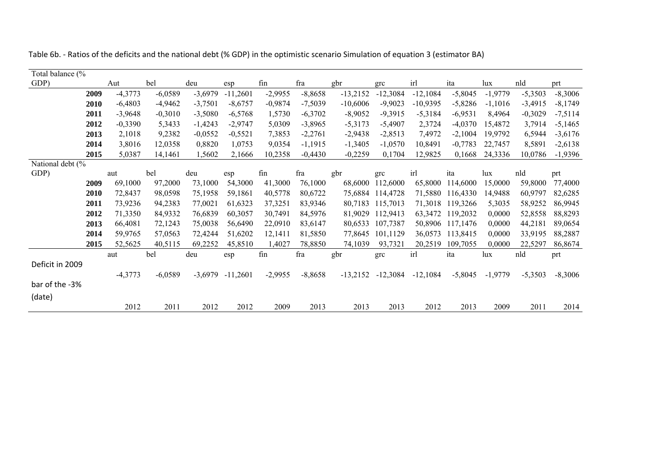| Table 6b. - Ratios of the deficits and the national debt (% GDP) in the optimistic scenario Simulation of equation 3 (estimator BA) |  |  |  |
|-------------------------------------------------------------------------------------------------------------------------------------|--|--|--|
|                                                                                                                                     |  |  |  |

| Total balance (% |           |           |           |            |           |           |            |            |            |           |           |           |           |
|------------------|-----------|-----------|-----------|------------|-----------|-----------|------------|------------|------------|-----------|-----------|-----------|-----------|
| GDP)             | Aut       | bel       | deu       | esp        | fin       | fra       | gbr        | grc        | irl        | ita       | lux       | nld       | prt       |
| 2009             | $-4,3773$ | $-6,0589$ | $-3,6979$ | $-11,2601$ | $-2,9955$ | $-8,8658$ | $-13,2152$ | $-12,3084$ | $-12,1084$ | $-5,8045$ | $-1,9779$ | $-5,3503$ | $-8,3006$ |
| 2010             | $-6,4803$ | $-4,9462$ | $-3,7501$ | $-8,6757$  | $-0,9874$ | $-7,5039$ | $-10,6006$ | $-9,9023$  | $-10,9395$ | $-5,8286$ | $-1,1016$ | $-3,4915$ | $-8,1749$ |
| 2011             | $-3,9648$ | $-0,3010$ | $-3,5080$ | $-6,5768$  | 1,5730    | $-6,3702$ | $-8,9052$  | $-9,3915$  | $-5,3184$  | $-6,9531$ | 8,4964    | $-0,3029$ | $-7,5114$ |
| 2012             | $-0,3390$ | 5,3433    | $-1,4243$ | $-2,9747$  | 5,0309    | $-3,8965$ | $-5,3173$  | $-5,4907$  | 2,3724     | $-4,0370$ | 15,4872   | 3,7914    | $-5,1465$ |
| 2013             | 2,1018    | 9,2382    | $-0,0552$ | $-0,5521$  | 7,3853    | $-2,2761$ | $-2,9438$  | $-2,8513$  | 7,4972     | $-2,1004$ | 19,9792   | 6,5944    | $-3,6176$ |
| 2014             | 3,8016    | 12,0358   | 0,8820    | 1,0753     | 9,0354    | $-1,1915$ | $-1,3405$  | $-1,0570$  | 10,8491    | $-0,7783$ | 22,7457   | 8,5891    | $-2,6138$ |
| 2015             | 5,0387    | 14,1461   | 1,5602    | 2,1666     | 10,2358   | $-0,4430$ | $-0,2259$  | 0,1704     | 12,9825    | 0,1668    | 24,3336   | 10,0786   | $-1,9396$ |
| National debt (% |           |           |           |            |           |           |            |            |            |           |           |           |           |
| GDP)             | aut       | bel       | deu       | esp        | fin       | fra       | gbr        | grc        | irl        | ita       | lux       | nld       | prt       |
| 2009             | 69,1000   | 97,2000   | 73,1000   | 54,3000    | 41,3000   | 76,1000   | 68,6000    | 112,6000   | 65,8000    | 114,6000  | 15,0000   | 59,8000   | 77,4000   |
| 2010             | 72,8437   | 98,0598   | 75,1958   | 59,1861    | 40,5778   | 80,6722   | 75,6884    | 114,4728   | 71,5880    | 116,4330  | 14,9488   | 60,9797   | 82,6285   |
| 2011             | 73,9236   | 94,2383   | 77,0021   | 61,6323    | 37,3251   | 83,9346   | 80,7183    | 115,7013   | 71,3018    | 119,3266  | 5,3035    | 58,9252   | 86,9945   |
| 2012             | 71,3350   | 84,9332   | 76,6839   | 60,3057    | 30,7491   | 84,5976   | 81,9029    | 112,9413   | 63,3472    | 119,2032  | 0,0000    | 52,8558   | 88,8293   |
| 2013             | 66,4081   | 72,1243   | 75,0038   | 56,6490    | 22,0910   | 83,6147   | 80,6533    | 107,7387   | 50,8906    | 117,1476  | 0,0000    | 44,2181   | 89,0654   |
| 2014             | 59,9765   | 57,0563   | 72,4244   | 51,6202    | 12,1411   | 81,5850   | 77,8645    | 101,1129   | 36,0573    | 113,8415  | 0,0000    | 33,9195   | 88,2887   |
| 2015             | 52,5625   | 40,5115   | 69,2252   | 45,8510    | 1,4027    | 78,8850   | 74,1039    | 93,7321    | 20,2519    | 109,7055  | 0,0000    | 22,5297   | 86,8674   |
|                  | aut       | bel       | deu       | esp        | fin       | fra       | gbr        | grc        | irl        | ita       | lux       | nld       | prt       |
| Deficit in 2009  |           |           |           |            |           |           |            |            |            |           |           |           |           |
|                  | $-4,3773$ | $-6,0589$ | $-3,6979$ | $-11,2601$ | $-2,9955$ | $-8,8658$ | $-13,2152$ | $-12,3084$ | $-12,1084$ | $-5,8045$ | $-1,9779$ | $-5,3503$ | $-8,3006$ |
| bar of the -3%   |           |           |           |            |           |           |            |            |            |           |           |           |           |
| (date)           |           |           |           |            |           |           |            |            |            |           |           |           |           |
|                  | 2012      | 2011      | 2012      | 2012       | 2009      | 2013      | 2013       | 2013       | 2012       | 2013      | 2009      | 2011      | 2014      |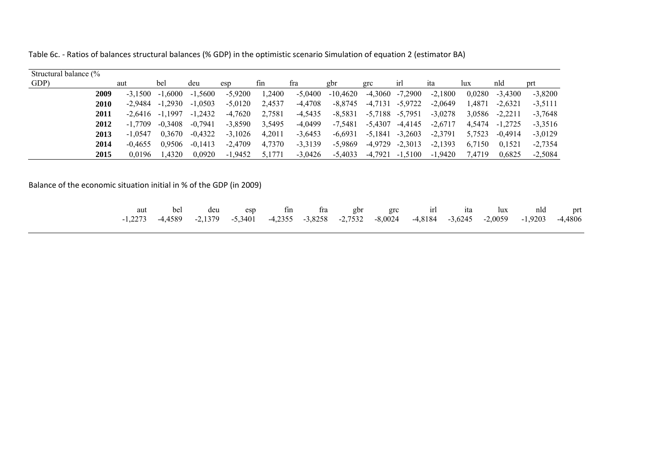Table 6c. - Ratios of balances structural balances (% GDP) in the optimistic scenario Simulation of equation 2 (estimator BA)

| Structural balance (% |      |           |                    |           |           |        |           |            |           |                     |           |        |           |           |
|-----------------------|------|-----------|--------------------|-----------|-----------|--------|-----------|------------|-----------|---------------------|-----------|--------|-----------|-----------|
| GDP)                  |      | aut       | bel                | deu       | esp       | fin    | fra       | gbr        | grc       | ırl                 | 1ta       | lux    | nld       | prt       |
|                       | 2009 | $-3.1500$ | .6000<br>$-1$      | $-1,5600$ | $-5,9200$ | ,2400  | $-5,0400$ | $-10,4620$ | $-4,3060$ | $-7,2900$           | $-2,1800$ | 0.0280 | $-3.4300$ | $-3,8200$ |
|                       | 2010 | -2.9484   | $-1.2930$          | $-1,0503$ | $-5,0120$ | 2,4537 | -4,4708   | $-8.8745$  | $-4,7131$ | -5,9722             | $-2,0649$ | 1.4871 | $-2,6321$ | $-3,5111$ |
|                       | 2011 |           | $-2.6416 - 1.1997$ | $-1,2432$ | -4,7620   | 2,7581 | $-4,5435$ | $-8,5831$  |           | $-5,7188$ $-5,7951$ | $-3,0278$ | 3,0586 | $-2,2211$ | $-3,7648$ |
|                       | 2012 | -1.7709   | $-0.3408$          | $-0.7941$ | $-3.8590$ | 3.5495 | $-4.0499$ | $-7.5481$  | $-5,4307$ | -4,4145             | $-2,6717$ | 4.5474 | $-1,2725$ | $-3,3516$ |
|                       | 2013 | $-1.0547$ | 0.3670             | $-0,4322$ | $-3,1026$ | 4.2011 | $-3,6453$ | $-6,6931$  | $-5,1841$ | $-3,2603$           | $-2,3791$ | 5,7523 | $-0.4914$ | $-3,0129$ |
|                       | 2014 | $-0.4655$ | 0.9506             | $-0,1413$ | $-2,4709$ | 4,7370 | $-3,3139$ | -5,9869    | $-4,9729$ | $-2,3013$           | $-2,1393$ | 6,7150 | 0,1521    | $-2,7354$ |
|                       | 2015 | 0.0196    | 1.4320             | 0,0920    | $-1,9452$ | 5.1771 | $-3,0426$ | $-5,4033$  | -4,7921   | $-1,5100$           | $-1,9420$ | 7.4719 | 0.6825    | $-2,5084$ |

Balance of the economic situation initial in % of the GDP (in 2009)

|  |  |  |  |  | aut bel deu esp fin fra gbr grc irl ita lux nld prt                                                     |  |
|--|--|--|--|--|---------------------------------------------------------------------------------------------------------|--|
|  |  |  |  |  | -1,2273 -4,4589 -2,1379 -5,3401 -4,2355 -3,8258 -2,7532 -8,0024 -4,8184 -3,6245 -2,0059 -1,9203 -4,4806 |  |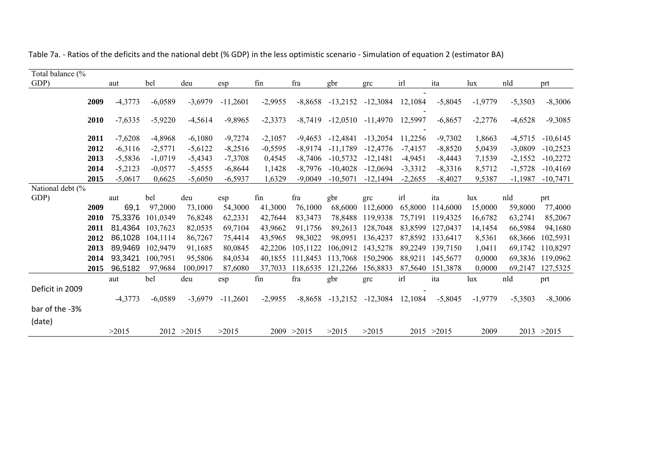| Total balance (% |      |           |                  |             |            |           |             |                      |            |           |             |           |           |             |
|------------------|------|-----------|------------------|-------------|------------|-----------|-------------|----------------------|------------|-----------|-------------|-----------|-----------|-------------|
| GDP)             |      | aut       | bel              | deu         | esp        | fin       | fra         | gbr                  | grc        | irl       | ita         | lux       | nld       | prt         |
|                  |      |           |                  |             |            |           |             |                      |            |           |             |           |           |             |
|                  | 2009 | $-4,3773$ | $-6,0589$        | $-3,6979$   | $-11,2601$ | $-2,9955$ | $-8,8658$   | $-13,2152$           | $-12,3084$ | 12,1084   | $-5,8045$   | $-1,9779$ | $-5,3503$ | $-8,3006$   |
|                  | 2010 | $-7,6335$ | $-5,9220$        | $-4,5614$   | $-9,8965$  | $-2,3373$ | $-8,7419$   | $-12,0510$           | -11,4970   | 12,5997   | $-6,8657$   | $-2,2776$ | $-4,6528$ | $-9,3085$   |
|                  | 2011 | $-7,6208$ | $-4,8968$        | $-6,1080$   | $-9,7274$  | $-2,1057$ | -9,4653     | $-12,4841$           | $-13,2054$ | 11,2256   | $-9,7302$   | 1,8663    | $-4,5715$ | $-10,6145$  |
|                  | 2012 | $-6,3116$ | $-2,5771$        | $-5,6122$   | $-8,2516$  | $-0,5595$ | $-8,9174$   | $-11,1789$           | $-12,4776$ | $-7,4157$ | $-8,8520$   | 5,0439    | $-3,0809$ | $-10,2523$  |
|                  | 2013 | $-5,5836$ | $-1,0719$        | $-5,4343$   | $-7,3708$  | 0,4545    | $-8,7406$   | $-10,5732$           | $-12,1481$ | $-4,9451$ | $-8,4443$   | 7,1539    | $-2,1552$ | $-10,2272$  |
|                  | 2014 | $-5,2123$ | $-0,0577$        | $-5,4555$   | $-6,8644$  | 1,1428    | $-8,7976$   | $-10,4028$           | $-12,0694$ | $-3,3312$ | $-8,3316$   | 8,5712    | $-1,5728$ | $-10,4169$  |
|                  | 2015 | $-5,0617$ | 0.6625           | $-5,6050$   | $-6,5937$  | 1,6329    | $-9,0049$   | $-10,5071$           | $-12,1494$ | $-2,2655$ | $-8,4027$   | 9,5387    | $-1,1987$ | $-10,7471$  |
| National debt (% |      |           |                  |             |            |           |             |                      |            |           |             |           |           |             |
| GDP)             |      | aut       | bel              | deu         | esp        | fin       | fra         | gbr                  | grc        | irl       | ita         | lux       | nld       | prt         |
|                  | 2009 | 69,1      | 97,2000          | 73,1000     | 54,3000    | 41,3000   | 76,1000     | 68,6000              | 112,6000   | 65,8000   | 114,6000    | 15,0000   | 59,8000   | 77,4000     |
|                  | 2010 |           | 75,3376 101,0349 | 76,8248     | 62,2331    | 42,7644   | 83,3473     | 78,8488              | 119,9338   | 75,7191   | 119,4325    | 16,6782   | 63,2741   | 85,2067     |
|                  | 2011 |           | 81,4364 103,7623 | 82,0535     | 69,7104    | 43,9662   | 91,1756     | 89,2613              | 128,7048   | 83,8599   | 127,0437    | 14,1454   | 66,5984   | 94,1680     |
|                  | 2012 |           | 86,1028 104,1114 | 86,7267     | 75,4414    | 43,5965   | 98,3022     | 98,0951              | 136,4237   | 87,8592   | 133,6417    | 8,5361    | 68,3666   | 102,5931    |
|                  | 2013 |           | 89,9469 102,9479 | 91,1685     | 80,0845    | 42,2206   | 105,1122    | 106,0912             | 143,5278   | 89,2249   | 139,7150    | 1,0411    | 69,1742   | 110,8297    |
|                  | 2014 | 93,3421   | 100,7951         | 95,5806     | 84,0534    | 40.1855   | 111.8453    | 113,7068             | 150,2906   | 88.9211   | 145,5677    | 0,0000    | 69,3836   | 119,0962    |
|                  | 2015 | 96,5182   | 97,9684          | 100,0917    | 87,6080    | 37,7033   | 118,6535    | 121,2266             | 156,8833   | 87,5640   | 151,3878    | 0,0000    | 69,2147   | 127,5325    |
|                  |      | aut       | bel              | deu         | esp        | fin       | fra         | gbr                  | grc        | irl       | ita         | lux       | nld       | prt         |
| Deficit in 2009  |      |           |                  |             |            |           |             |                      |            |           |             |           |           |             |
|                  |      | $-4,3773$ | $-6,0589$        | $-3,6979$   | $-11,2601$ | $-2,9955$ |             | $-8,8658$ $-13,2152$ | $-12,3084$ | 12,1084   | $-5,8045$   | $-1,9779$ | $-5,3503$ | $-8,3006$   |
| bar of the -3%   |      |           |                  |             |            |           |             |                      |            |           |             |           |           |             |
| (date)           |      |           |                  |             |            |           |             |                      |            |           |             |           |           |             |
|                  |      | >2015     |                  | 2012 > 2015 | >2015      |           | 2009 > 2015 | >2015                | >2015      |           | 2015 > 2015 | 2009      |           | 2013 > 2015 |

Table 7a. - Ratios of the deficits and the national debt (% GDP) in the less optimistic scenario - Simulation of equation 2 (estimator BA)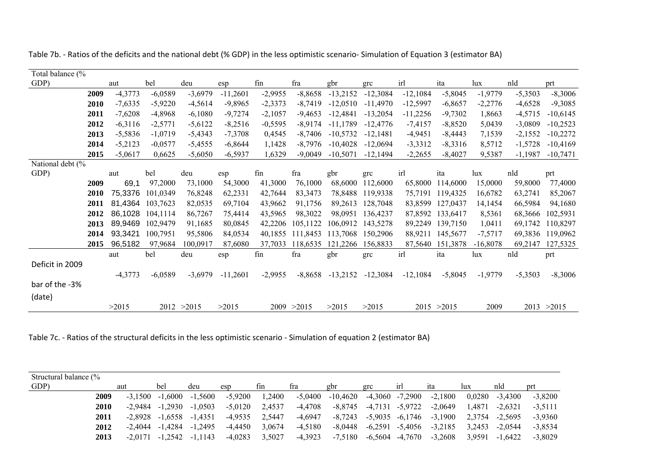| Total balance (% |             |           |                  |           |            |           |           |            |                  |            |                  |           |           |            |
|------------------|-------------|-----------|------------------|-----------|------------|-----------|-----------|------------|------------------|------------|------------------|-----------|-----------|------------|
| GDP)             |             | aut       | bel              | deu       | esp        | fin       | fra       | gbr        | grc              | irl        | ita              | lux       | nld       | prt        |
|                  | 2009        | $-4,3773$ | $-6,0589$        | $-3,6979$ | $-11,2601$ | $-2,9955$ | $-8,8658$ | $-13,2152$ | $-12,3084$       | $-12,1084$ | $-5,8045$        | $-1,9779$ | $-5,3503$ | $-8,3006$  |
|                  | <b>2010</b> | $-7,6335$ | $-5,9220$        | $-4,5614$ | $-9,8965$  | $-2,3373$ | $-8.7419$ | $-12,0510$ | $-11.4970$       | $-12,5997$ | $-6,8657$        | $-2,2776$ | $-4,6528$ | $-9,3085$  |
|                  | 2011        | $-7,6208$ | $-4,8968$        | $-6,1080$ | $-9,7274$  | $-2,1057$ | $-9,4653$ | $-12,4841$ | $-13,2054$       | $-11,2256$ | $-9,7302$        | 1,8663    | $-4,5715$ | $-10,6145$ |
|                  | 2012        | $-6,3116$ | $-2,5771$        | $-5,6122$ | $-8,2516$  | $-0,5595$ | -8,9174   | $-11,1789$ | -12,4776         | $-7,4157$  | $-8,8520$        | 5,0439    | $-3,0809$ | $-10,2523$ |
|                  | 2013        | $-5,5836$ | $-1,0719$        | $-5,4343$ | $-7,3708$  | 0,4545    | -8,7406   | $-10,5732$ | $-12.1481$       | $-4,9451$  | $-8,4443$        | 7,1539    | $-2,1552$ | $-10,2272$ |
|                  | 2014        | $-5,2123$ | $-0,0577$        | $-5,4555$ | $-6,8644$  | 1,1428    | -8,7976   | $-10,4028$ | $-12,0694$       | $-3,3312$  | $-8,3316$        | 8,5712    | $-1,5728$ | $-10,4169$ |
|                  | 2015        | $-5,0617$ | 0,6625           | $-5,6050$ | $-6,5937$  | 1,6329    | $-9.0049$ | $-10,5071$ | $-12.1494$       | $-2,2655$  | $-8.4027$        | 9,5387    | $-1,1987$ | $-10,7471$ |
| National debt (% |             |           |                  |           |            |           |           |            |                  |            |                  |           |           |            |
| GDP)             |             | aut       | bel              | deu       | esp        | fin       | fra       | gbr        | grc              | irl        | ita              | lux       | nld       | prt        |
|                  | 2009        | 69,1      | 97,2000          | 73,1000   | 54,3000    | 41,3000   | 76,1000   | 68,6000    | 112,6000         |            | 65,8000 114,6000 | 15,0000   | 59,8000   | 77,4000    |
|                  | <b>2010</b> |           | 75.3376 101.0349 | 76,8248   | 62,2331    | 42,7644   | 83,3473   |            | 78.8488 119.9338 |            | 75,7191 119,4325 | 16,6782   | 63,2741   | 85,2067    |
|                  | 2011        | 81.4364   | 103,7623         | 82,0535   | 69,7104    | 43,9662   | 91,1756   | 89,2613    | 128,7048         | 83,8599    | 127,0437         | 14,1454   | 66,5984   | 94,1680    |
|                  | 2012        | 86,1028   | 104.1114         | 86,7267   | 75.4414    | 43,5965   | 98,3022   | 98.0951    | 136,4237         |            | 87,8592 133,6417 | 8,5361    | 68,3666   | 102,5931   |
|                  | 2013        | 89,9469   | 102.9479         | 91.1685   | 80,0845    | 42,2206   | 105,1122  | 106.0912   | 143,5278         |            | 89,2249 139,7150 | 1.0411    | 69,1742   | 110.8297   |

93,3421 100,7951 95,5806 84,0534 40,1855 111,8453 113,7068 150,2906 88,9211 145,5677 -7,5717 69,3836 119,0962

aut bel deu esp fin fra gbr grc irl ita lux nld prt

-4,3773 -6,0589 -3,6979 -11,2601 -2,9955 -8,8658 -13,2152 -12,3084 -12,1084 -5,8045 -1,9779 -5,3503 -8,3006

96,5182 97,9684 100,0917 87,6080 37,7033 118,6535 121,2266 156,8833 87,5640 151,3878 -16,8078 69,2147 127,5325

 $>2015$   $>2015$   $>2015$   $>2015$   $>2009$   $>2013$   $>2015$ 

Table 7b. - Ratios of the deficits and the national debt (% GDP) in the less optimistic scenario- Simulation of Equation 3 (estimator BA)

Table 7c. - Ratios of the structural deficits in the less optimistic scenario - Simulation of equation 2 (estimator BA)

 $>2015$  2012  $>2015$   $>2015$  2009  $>2015$ 

2014 93,3421 100,7951

Deficit in 2009

bar of the -3%

(date)

**2015** 96,5182 97,9684 100,0917

| Structural balance (% |             |           |                     |           |           |        |           |                                          |                               |                 |                                         |        |           |           |
|-----------------------|-------------|-----------|---------------------|-----------|-----------|--------|-----------|------------------------------------------|-------------------------------|-----------------|-----------------------------------------|--------|-----------|-----------|
| GDP)                  |             | aut       | bel                 | deu       | esp       | fin    | fra       | gbr                                      | grc                           | <sub>1</sub> rl | ıta                                     | lux    | nld       | prt       |
|                       | 2009        | $-3.1500$ | $-1.6000$           | $-1.5600$ | $-5,9200$ | 1,2400 |           | $-5,0400$ $-10,4620$ $-4,3060$ $-7,2900$ |                               |                 | $-2,1800$                               | 0,0280 | $-3.4300$ | $-3,8200$ |
|                       | <b>2010</b> |           | $-2.9484$ $-1.2930$ | $-1.0503$ | $-5.0120$ | 2.4537 | -4,4708   |                                          | $-8,8745$ $-4,7131$ $-5,9722$ |                 | $-2.0649$                               | 1.4871 | $-2.6321$ | $-3.5111$ |
|                       | 2011        |           | $-2.8928$ $-1.6558$ | -1.4351   | -4.9535   | 2.5447 | -4,6947   |                                          |                               |                 | $-8,7243$ $-5,9035$ $-6,1746$ $-3,1900$ | 2.3754 | -2.5695   | $-3.9360$ |
|                       | 2012        |           | $-2.4044$ $-1.4284$ | $-1.2495$ | -4.4450   | 3,0674 | $-4,5180$ | -8,0448                                  | -6,2591 -5,4056               |                 | $-3,2185$                               | 3.2453 | $-2.0544$ | $-3.8534$ |
|                       | 2013        |           | $-2.0171 -1.2542$   | -1.1143   | $-4,0283$ | 3,5027 | $-4,3923$ |                                          | $-7,5180$ $-6,5604$ $-4,7670$ |                 | $-3,2608$                               | 3,9591 | -1.6422   | $-3.8029$ |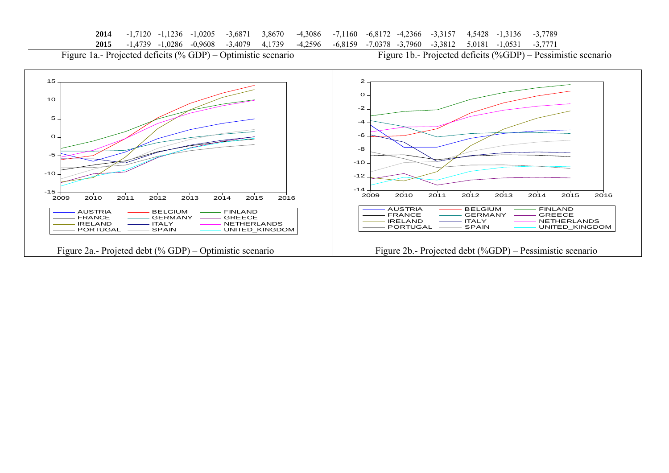|  |  |  |  |  |  | 2014 -1,7120 -1,1236 -1,0205 -3,6871 3,8670 -4,3086 -7,1160 -6,8172 -4,2366 -3,3157 4,5428 -1,3136 -3,7789 |  |  |  |  |  |  |  |
|--|--|--|--|--|--|------------------------------------------------------------------------------------------------------------|--|--|--|--|--|--|--|
|--|--|--|--|--|--|------------------------------------------------------------------------------------------------------------|--|--|--|--|--|--|--|

**2015** -1,4739 -1,0286 -0,9608 -3,4079 4,1739 -4,2596 -6,8159 -7,0378 -3,7960 -3,3812 5,0181 -1,0531 -3,7771

Figure 1a.- Projected deficits (% GDP) – Optimistic scenario Figure 1b.- Projected deficits (%GDP) – Pessimistic scenario

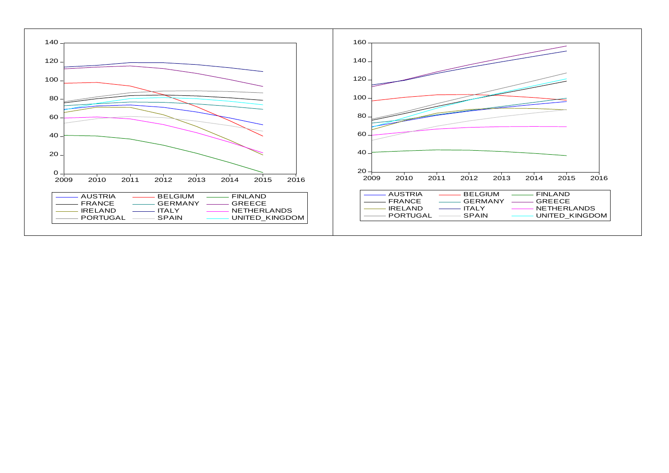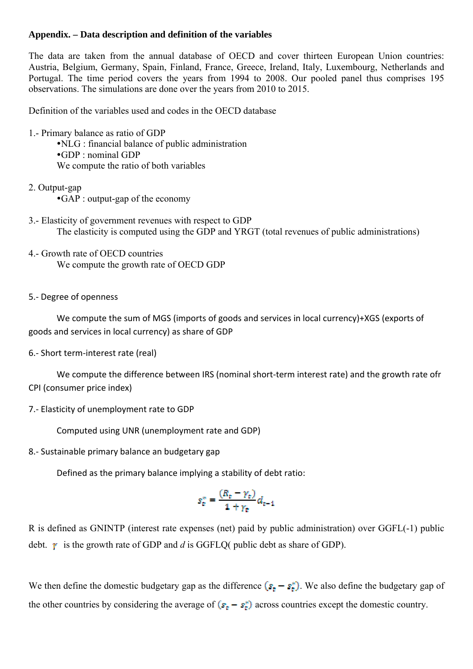#### **Appendix. – Data description and definition of the variables**

The data are taken from the annual database of OECD and cover thirteen European Union countries: Austria, Belgium, Germany, Spain, Finland, France, Greece, Ireland, Italy, Luxembourg, Netherlands and Portugal. The time period covers the years from 1994 to 2008. Our pooled panel thus comprises 195 observations. The simulations are done over the years from 2010 to 2015.

Definition of the variables used and codes in the OECD database

- 1.- Primary balance as ratio of GDP  $\cdot$ NLG : financial balance of public administration yGDP : nominal GDP We compute the ratio of both variables
- 2. Output-gap
	- yGAP : output-gap of the economy
- 3.- Elasticity of government revenues with respect to GDP The elasticity is computed using the GDP and YRGT (total revenues of public administrations)
- 4.- Growth rate of OECD countries We compute the growth rate of OECD GDP

#### 5.- Degree of openness

 We compute the sum of MGS (imports of goods and services in local currency)+XGS (exports of goods and services in local currency) as share of GDP

6.- Short term-interest rate (real)

 We compute the difference between IRS (nominal short-term interest rate) and the growth rate ofr CPI (consumer price index)

7.- Elasticity of unemployment rate to GDP

Computed using UNR (unemployment rate and GDP)

8.- Sustainable primary balance an budgetary gap

Defined as the primary balance implying a stability of debt ratio:

$$
s_e^* = \frac{(R_e - \gamma_e)}{1 + \gamma_e} d_{e-1}
$$

R is defined as GNINTP (interest rate expenses (net) paid by public administration) over GGFL(-1) public debt.  $\gamma$  is the growth rate of GDP and *d* is GGFLQ( public debt as share of GDP).

We then define the domestic budgetary gap as the difference  $(s - s^*)$ . We also define the budgetary gap of the other countries by considering the average of  $(s<sub>t</sub> - s<sub>t</sub><sup>*</sup>)$  across countries except the domestic country.